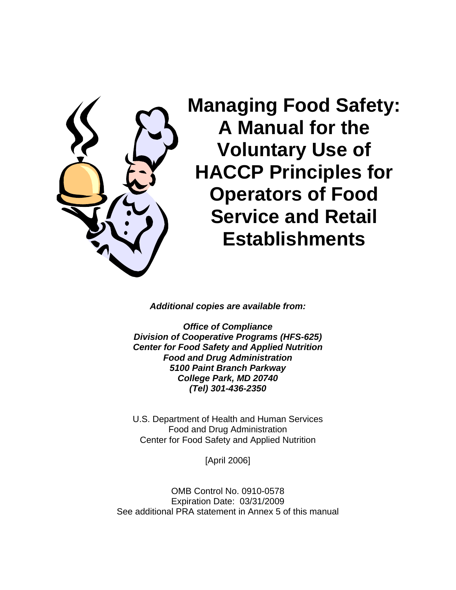

**Managing Food Safety: A Manual for the Voluntary Use of HACCP Principles for Operators of Food Service and Retail Establishments**

*Additional copies are available from:* 

*Office of Compliance Division of Cooperative Programs (HFS-625) Center for Food Safety and Applied Nutrition Food and Drug Administration 5100 Paint Branch Parkway College Park, MD 20740 (Tel) 301-436-2350* 

U.S. Department of Health and Human Services Food and Drug Administration Center for Food Safety and Applied Nutrition

[April 2006]

OMB Control No. 0910-0578 Expiration Date: 03/31/2009 See additional PRA statement in Annex 5 of this manual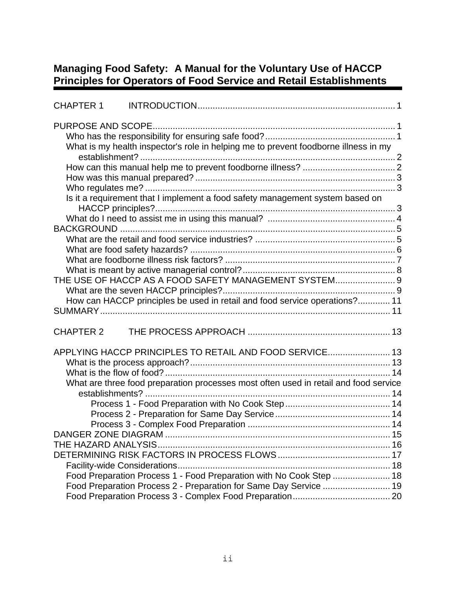## **Managing Food Safety: A Manual for the Voluntary Use of HACCP Principles for Operators of Food Service and Retail Establishments**

| CHAPTER 1        |                                                                                                                                                 |  |
|------------------|-------------------------------------------------------------------------------------------------------------------------------------------------|--|
|                  | What is my health inspector's role in helping me to prevent foodborne illness in my                                                             |  |
|                  |                                                                                                                                                 |  |
|                  | Is it a requirement that I implement a food safety management system based on                                                                   |  |
|                  |                                                                                                                                                 |  |
|                  |                                                                                                                                                 |  |
|                  | THE USE OF HACCP AS A FOOD SAFETY MANAGEMENT SYSTEM 9                                                                                           |  |
|                  | How can HACCP principles be used in retail and food service operations? 11                                                                      |  |
| <b>CHAPTER 2</b> |                                                                                                                                                 |  |
|                  | APPLYING HACCP PRINCIPLES TO RETAIL AND FOOD SERVICE 13<br>What are three food preparation processes most often used in retail and food service |  |
|                  |                                                                                                                                                 |  |
|                  |                                                                                                                                                 |  |
|                  | Food Preparation Process 1 - Food Preparation with No Cook Step  18<br>Food Preparation Process 2 - Preparation for Same Day Service  19        |  |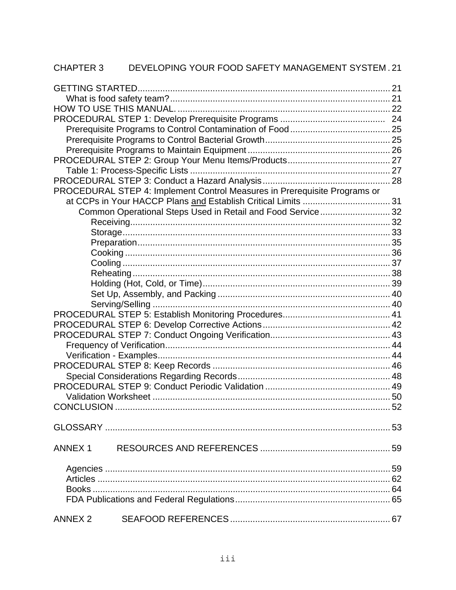| CHAPTER 3 | DEVELOPING YOUR FOOD SAFETY MANAGEMENT SYSTEM. 21                         |  |
|-----------|---------------------------------------------------------------------------|--|
|           |                                                                           |  |
|           |                                                                           |  |
|           |                                                                           |  |
|           |                                                                           |  |
|           |                                                                           |  |
|           |                                                                           |  |
|           |                                                                           |  |
|           |                                                                           |  |
|           |                                                                           |  |
|           |                                                                           |  |
|           | PROCEDURAL STEP 4: Implement Control Measures in Prerequisite Programs or |  |
|           |                                                                           |  |
|           | Common Operational Steps Used in Retail and Food Service 32               |  |
|           |                                                                           |  |
|           |                                                                           |  |
|           |                                                                           |  |
|           |                                                                           |  |
|           |                                                                           |  |
|           |                                                                           |  |
|           |                                                                           |  |
|           |                                                                           |  |
|           |                                                                           |  |
|           |                                                                           |  |
|           |                                                                           |  |
|           |                                                                           |  |
|           |                                                                           |  |
|           |                                                                           |  |
|           |                                                                           |  |
|           |                                                                           |  |
|           |                                                                           |  |
|           |                                                                           |  |
|           |                                                                           |  |
|           |                                                                           |  |
|           |                                                                           |  |
|           |                                                                           |  |
|           |                                                                           |  |
|           |                                                                           |  |
|           |                                                                           |  |
|           |                                                                           |  |
|           |                                                                           |  |
|           |                                                                           |  |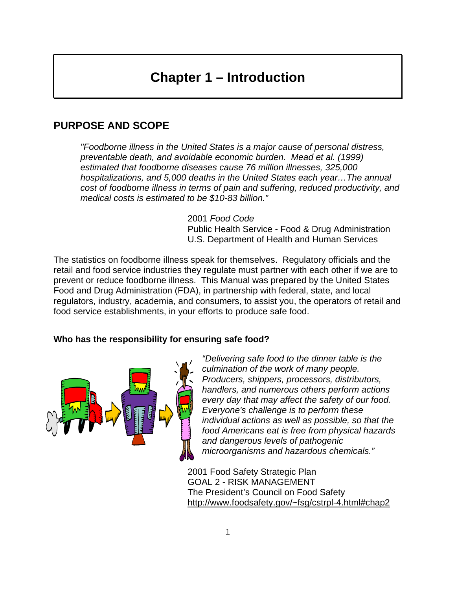# **Chapter 1 – Introduction**

## **PURPOSE AND SCOPE**

*"Foodborne illness in the United States is a major cause of personal distress, preventable death, and avoidable economic burden. Mead et al. (1999) estimated that foodborne diseases cause 76 million illnesses, 325,000 hospitalizations, and 5,000 deaths in the United States each year…The annual cost of foodborne illness in terms of pain and suffering, reduced productivity, and medical costs is estimated to be \$10-83 billion."* 

> 2001 *Food Code* Public Health Service - Food & Drug Administration U.S. Department of Health and Human Services

The statistics on foodborne illness speak for themselves. Regulatory officials and the retail and food service industries they regulate must partner with each other if we are to prevent or reduce foodborne illness. This Manual was prepared by the United States Food and Drug Administration (FDA), in partnership with federal, state, and local regulators, industry, academia, and consumers, to assist you, the operators of retail and food service establishments, in your efforts to produce safe food.

#### **Who has the responsibility for ensuring safe food?**



*"Delivering safe food to the dinner table is the culmination of the work of many people. Producers, shippers, processors, distributors, handlers, and numerous others perform actions every day that may affect the safety of our food. Everyone's challenge is to perform these individual actions as well as possible, so that the food Americans eat is free from physical hazards and dangerous levels of pathogenic microorganisms and hazardous chemicals."* 

 2001 Food Safety Strategic Plan GOAL 2 - RISK MANAGEMENT The President's Council on Food Safety http://www.foodsafety.gov/~fsg/cstrpl-4.html#chap2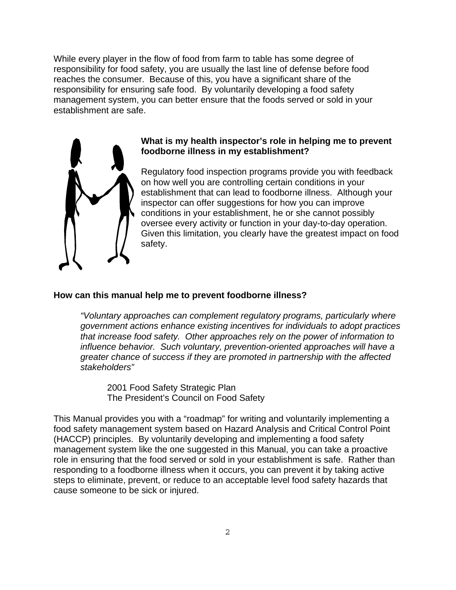While every player in the flow of food from farm to table has some degree of responsibility for food safety, you are usually the last line of defense before food reaches the consumer. Because of this, you have a significant share of the responsibility for ensuring safe food. By voluntarily developing a food safety management system, you can better ensure that the foods served or sold in your establishment are safe.



#### **What is my health inspector's role in helping me to prevent foodborne illness in my establishment?**

Regulatory food inspection programs provide you with feedback on how well you are controlling certain conditions in your establishment that can lead to foodborne illness. Although your inspector can offer suggestions for how you can improve conditions in your establishment, he or she cannot possibly oversee every activity or function in your day-to-day operation. Given this limitation, you clearly have the greatest impact on food safety.

#### **How can this manual help me to prevent foodborne illness?**

*"Voluntary approaches can complement regulatory programs, particularly where government actions enhance existing incentives for individuals to adopt practices that increase food safety. Other approaches rely on the power of information to influence behavior. Such voluntary, prevention-oriented approaches will have a greater chance of success if they are promoted in partnership with the affected stakeholders"* 

 2001 Food Safety Strategic Plan The President's Council on Food Safety

This Manual provides you with a "roadmap" for writing and voluntarily implementing a food safety management system based on Hazard Analysis and Critical Control Point (HACCP) principles. By voluntarily developing and implementing a food safety management system like the one suggested in this Manual, you can take a proactive role in ensuring that the food served or sold in your establishment is safe. Rather than responding to a foodborne illness when it occurs, you can prevent it by taking active steps to eliminate, prevent, or reduce to an acceptable level food safety hazards that cause someone to be sick or injured.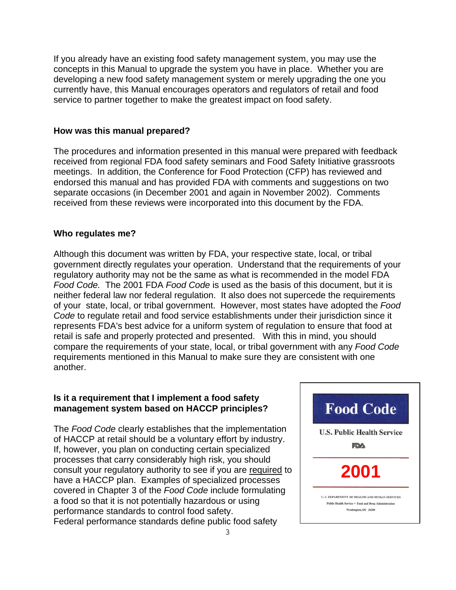If you already have an existing food safety management system, you may use the concepts in this Manual to upgrade the system you have in place. Whether you are developing a new food safety management system or merely upgrading the one you currently have, this Manual encourages operators and regulators of retail and food service to partner together to make the greatest impact on food safety.

#### **How was this manual prepared?**

The procedures and information presented in this manual were prepared with feedback received from regional FDA food safety seminars and Food Safety Initiative grassroots meetings. In addition, the Conference for Food Protection (CFP) has reviewed and endorsed this manual and has provided FDA with comments and suggestions on two separate occasions (in December 2001 and again in November 2002). Comments received from these reviews were incorporated into this document by the FDA.

#### **Who regulates me?**

Although this document was written by FDA, your respective state, local, or tribal government directly regulates your operation. Understand that the requirements of your regulatory authority may not be the same as what is recommended in the model FDA *Food Code.* The 2001 FDA *Food Code* is used as the basis of this document, but it is neither federal law nor federal regulation. It also does not supercede the requirements of your state, local, or tribal government. However, most states have adopted the *Food Code* to regulate retail and food service establishments under their jurisdiction since it represents FDA's best advice for a uniform system of regulation to ensure that food at retail is safe and properly protected and presented. With this in mind, you should compare the requirements of your state, local, or tribal government with any *Food Code* requirements mentioned in this Manual to make sure they are consistent with one another.

#### **Is it a requirement that I implement a food safety management system based on HACCP principles?**

The *Food Code* clearly establishes that the implementation of HACCP at retail should be a voluntary effort by industry. If, however, you plan on conducting certain specialized processes that carry considerably high risk, you should consult your regulatory authority to see if you are required to have a HACCP plan. Examples of specialized processes covered in Chapter 3 of the *Food Code* include formulating a food so that it is not potentially hazardous or using performance standards to control food safety. Federal performance standards define public food safety

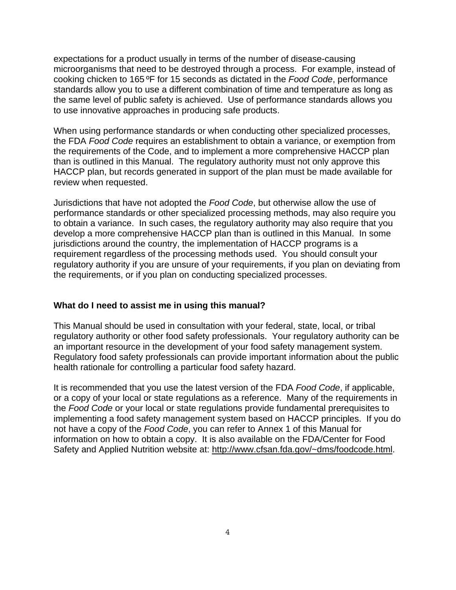expectations for a product usually in terms of the number of disease-causing microorganisms that need to be destroyed through a process. For example, instead of cooking chicken to 165 ºF for 15 seconds as dictated in the *Food Code*, performance standards allow you to use a different combination of time and temperature as long as the same level of public safety is achieved. Use of performance standards allows you to use innovative approaches in producing safe products.

When using performance standards or when conducting other specialized processes, the FDA *Food Code* requires an establishment to obtain a variance, or exemption from the requirements of the Code, and to implement a more comprehensive HACCP plan than is outlined in this Manual. The regulatory authority must not only approve this HACCP plan, but records generated in support of the plan must be made available for review when requested.

Jurisdictions that have not adopted the *Food Code*, but otherwise allow the use of performance standards or other specialized processing methods, may also require you to obtain a variance. In such cases, the regulatory authority may also require that you develop a more comprehensive HACCP plan than is outlined in this Manual. In some jurisdictions around the country, the implementation of HACCP programs is a requirement regardless of the processing methods used. You should consult your regulatory authority if you are unsure of your requirements, if you plan on deviating from the requirements, or if you plan on conducting specialized processes.

#### **What do I need to assist me in using this manual?**

This Manual should be used in consultation with your federal, state, local, or tribal regulatory authority or other food safety professionals. Your regulatory authority can be an important resource in the development of your food safety management system. Regulatory food safety professionals can provide important information about the public health rationale for controlling a particular food safety hazard.

It is recommended that you use the latest version of the FDA *Food Code*, if applicable, or a copy of your local or state regulations as a reference. Many of the requirements in the *Food Code* or your local or state regulations provide fundamental prerequisites to implementing a food safety management system based on HACCP principles. If you do not have a copy of the *Food Code*, you can refer to Annex 1 of this Manual for information on how to obtain a copy. It is also available on the FDA/Center for Food Safety and Applied Nutrition website at: http://www.cfsan.fda.gov/~dms/foodcode.html.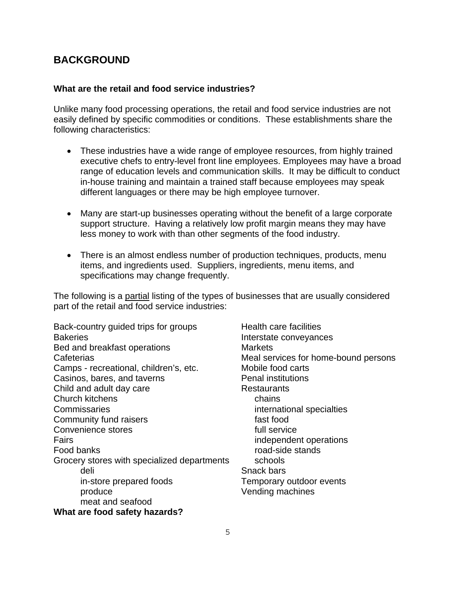## **BACKGROUND**

#### **What are the retail and food service industries?**

Unlike many food processing operations, the retail and food service industries are not easily defined by specific commodities or conditions. These establishments share the following characteristics:

- These industries have a wide range of employee resources, from highly trained executive chefs to entry-level front line employees. Employees may have a broad range of education levels and communication skills. It may be difficult to conduct in-house training and maintain a trained staff because employees may speak different languages or there may be high employee turnover.
- Many are start-up businesses operating without the benefit of a large corporate support structure. Having a relatively low profit margin means they may have less money to work with than other segments of the food industry.
- There is an almost endless number of production techniques, products, menu items, and ingredients used. Suppliers, ingredients, menu items, and specifications may change frequently.

The following is a partial listing of the types of businesses that are usually considered part of the retail and food service industries:

Back-country guided trips for groups Health care facilities Bakeries **Interstate conveyances** Bed and breakfast operations The Markets Cafeterias Meal services for home-bound persons Camps - recreational, children's, etc. Mobile food carts Casinos, bares, and taverns **Penal institutions** Child and adult day care **Restaurants** Church kitchens chains chains Commissaries international specialties Community fund raisers **fast** food Convenience stores **full service** Fairs **independent operations** Food banks **road-side stands** Grocery stores with specialized departments schools deli Snack bars in-store prepared foods Temporary outdoor events produce **Vending machines**  meat and seafood **What are food safety hazards?**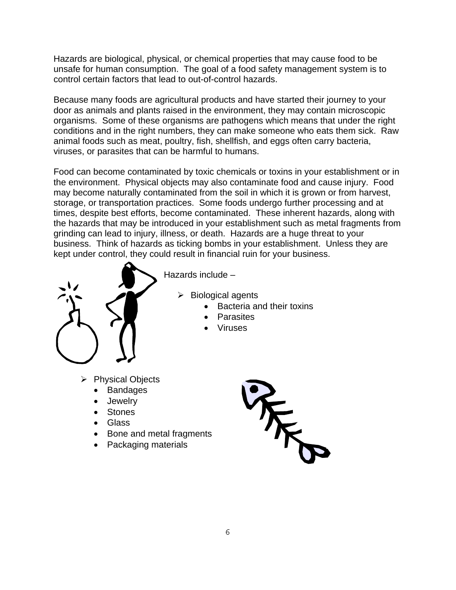Hazards are biological, physical, or chemical properties that may cause food to be unsafe for human consumption. The goal of a food safety management system is to control certain factors that lead to out-of-control hazards.

Because many foods are agricultural products and have started their journey to your door as animals and plants raised in the environment, they may contain microscopic organisms. Some of these organisms are pathogens which means that under the right conditions and in the right numbers, they can make someone who eats them sick.Raw animal foods such as meat, poultry, fish, shellfish, and eggs often carry bacteria, viruses, or parasites that can be harmful to humans.

Food can become contaminated by toxic chemicals or toxins in your establishment or in the environment. Physical objects may also contaminate food and cause injury. Food may become naturally contaminated from the soil in which it is grown or from harvest, storage, or transportation practices. Some foods undergo further processing and at times, despite best efforts, become contaminated. These inherent hazards, along with the hazards that may be introduced in your establishment such as metal fragments from grinding can lead to injury, illness, or death. Hazards are a huge threat to your business. Think of hazards as ticking bombs in your establishment. Unless they are kept under control, they could result in financial ruin for your business.



Hazards include –

- $\triangleright$  Biological agents
	- Bacteria and their toxins
	- Parasites
	- Viruses
- ¾ Physical Objects
	- Bandages
	- Jewelry
	- Stones
	- Glass
	- Bone and metal fragments
	- Packaging materials

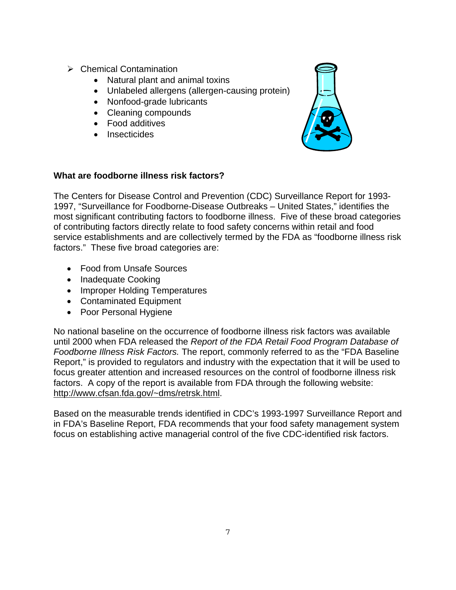- $\triangleright$  Chemical Contamination
	- Natural plant and animal toxins
	- Unlabeled allergens (allergen-causing protein)
	- Nonfood-grade lubricants
	- Cleaning compounds
	- Food additives
	- Insecticides



#### **What are foodborne illness risk factors?**

The Centers for Disease Control and Prevention (CDC) Surveillance Report for 1993- 1997, "Surveillance for Foodborne-Disease Outbreaks – United States," identifies the most significant contributing factors to foodborne illness. Five of these broad categories of contributing factors directly relate to food safety concerns within retail and food service establishments and are collectively termed by the FDA as "foodborne illness risk factors." These five broad categories are:

- Food from Unsafe Sources
- Inadequate Cooking
- Improper Holding Temperatures
- Contaminated Equipment
- Poor Personal Hygiene

No national baseline on the occurrence of foodborne illness risk factors was available until 2000 when FDA released the *Report of the FDA Retail Food Program Database of Foodborne Illness Risk Factors.* The report, commonly referred to as the "FDA Baseline Report," is provided to regulators and industry with the expectation that it will be used to focus greater attention and increased resources on the control of foodborne illness risk factors. A copy of the report is available from FDA through the following website: http://www.cfsan.fda.gov/~dms/retrsk.html.

Based on the measurable trends identified in CDC's 1993-1997 Surveillance Report and in FDA's Baseline Report, FDA recommends that your food safety management system focus on establishing active managerial control of the five CDC-identified risk factors.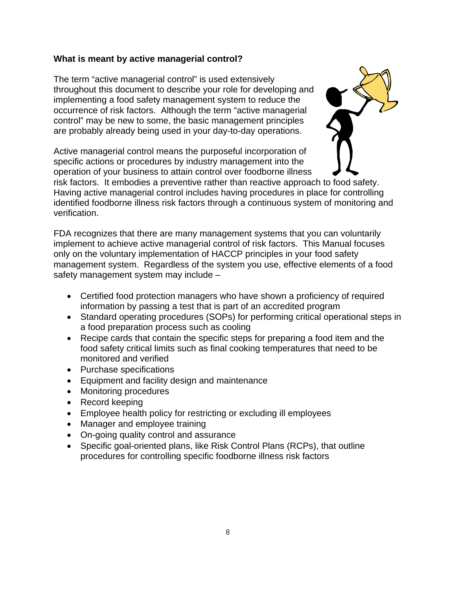#### **What is meant by active managerial control?**

The term "active managerial control" is used extensively throughout this document to describe your role for developing and implementing a food safety management system to reduce the occurrence of risk factors. Although the term "active managerial control" may be new to some, the basic management principles are probably already being used in your day-to-day operations.



Active managerial control means the purposeful incorporation of specific actions or procedures by industry management into the operation of your business to attain control over foodborne illness

risk factors. It embodies a preventive rather than reactive approach to food safety. Having active managerial control includes having procedures in place for controlling identified foodborne illness risk factors through a continuous system of monitoring and verification.

FDA recognizes that there are many management systems that you can voluntarily implement to achieve active managerial control of risk factors. This Manual focuses only on the voluntary implementation of HACCP principles in your food safety management system. Regardless of the system you use, effective elements of a food safety management system may include –

- Certified food protection managers who have shown a proficiency of required information by passing a test that is part of an accredited program
- Standard operating procedures (SOPs) for performing critical operational steps in a food preparation process such as cooling
- Recipe cards that contain the specific steps for preparing a food item and the food safety critical limits such as final cooking temperatures that need to be monitored and verified
- Purchase specifications
- Equipment and facility design and maintenance
- Monitoring procedures
- Record keeping
- Employee health policy for restricting or excluding ill employees
- Manager and employee training
- On-going quality control and assurance
- Specific goal-oriented plans, like Risk Control Plans (RCPs), that outline procedures for controlling specific foodborne illness risk factors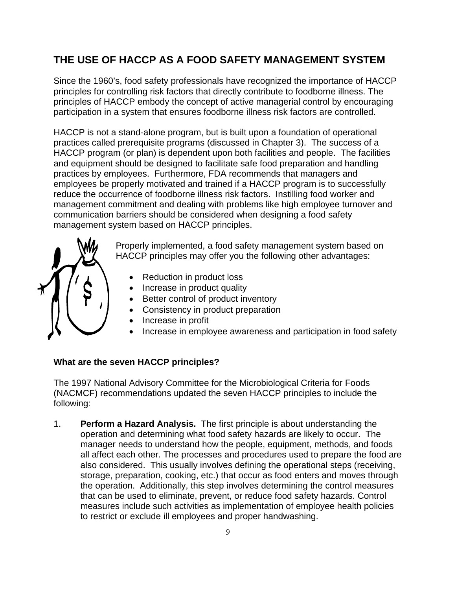## **THE USE OF HACCP AS A FOOD SAFETY MANAGEMENT SYSTEM**

Since the 1960's, food safety professionals have recognized the importance of HACCP principles for controlling risk factors that directly contribute to foodborne illness. The principles of HACCP embody the concept of active managerial control by encouraging participation in a system that ensures foodborne illness risk factors are controlled.

HACCP is not a stand-alone program, but is built upon a foundation of operational practices called prerequisite programs (discussed in Chapter 3). The success of a HACCP program (or plan) is dependent upon both facilities and people. The facilities and equipment should be designed to facilitate safe food preparation and handling practices by employees. Furthermore, FDA recommends that managers and employees be properly motivated and trained if a HACCP program is to successfully reduce the occurrence of foodborne illness risk factors. Instilling food worker and management commitment and dealing with problems like high employee turnover and communication barriers should be considered when designing a food safety management system based on HACCP principles.



Properly implemented, a food safety management system based on HACCP principles may offer you the following other advantages:

- Reduction in product loss
- Increase in product quality
- Better control of product inventory
- Consistency in product preparation
- Increase in profit
- Increase in employee awareness and participation in food safety

#### **What are the seven HACCP principles?**

The 1997 National Advisory Committee for the Microbiological Criteria for Foods (NACMCF) recommendations updated the seven HACCP principles to include the following:

1. **Perform a Hazard Analysis.** The first principle is about understanding the operation and determining what food safety hazards are likely to occur. The manager needs to understand how the people, equipment, methods, and foods all affect each other. The processes and procedures used to prepare the food are also considered. This usually involves defining the operational steps (receiving, storage, preparation, cooking, etc.) that occur as food enters and moves through the operation. Additionally, this step involves determining the control measures that can be used to eliminate, prevent, or reduce food safety hazards. Control measures include such activities as implementation of employee health policies to restrict or exclude ill employees and proper handwashing.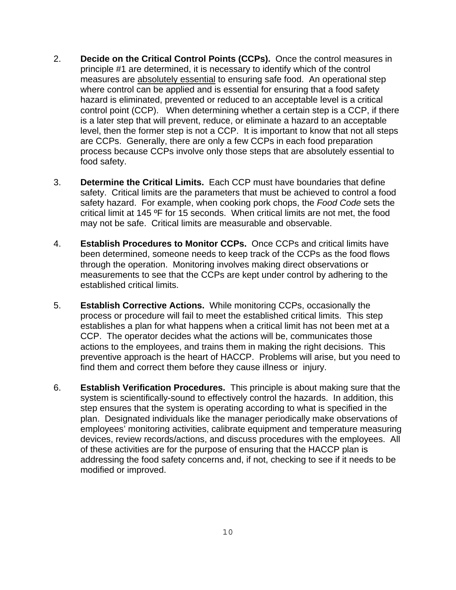- 2. **Decide on the Critical Control Points (CCPs).** Once the control measures in principle #1 are determined, it is necessary to identify which of the control measures are absolutely essential to ensuring safe food. An operational step where control can be applied and is essential for ensuring that a food safety hazard is eliminated, prevented or reduced to an acceptable level is a critical control point (CCP). When determining whether a certain step is a CCP, if there is a later step that will prevent, reduce, or eliminate a hazard to an acceptable level, then the former step is not a CCP. It is important to know that not all steps are CCPs. Generally, there are only a few CCPs in each food preparation process because CCPs involve only those steps that are absolutely essential to food safety.
- 3. **Determine the Critical Limits.** Each CCP must have boundaries that define safety. Critical limits are the parameters that must be achieved to control a food safety hazard. For example, when cooking pork chops, the *Food Code* sets the critical limit at 145 ºF for 15 seconds. When critical limits are not met, the food may not be safe. Critical limits are measurable and observable.
- 4. **Establish Procedures to Monitor CCPs.** Once CCPs and critical limits have been determined, someone needs to keep track of the CCPs as the food flows through the operation. Monitoring involves making direct observations or measurements to see that the CCPs are kept under control by adhering to the established critical limits.
- 5. **Establish Corrective Actions.** While monitoring CCPs, occasionally the process or procedure will fail to meet the established critical limits. This step establishes a plan for what happens when a critical limit has not been met at a CCP. The operator decides what the actions will be, communicates those actions to the employees, and trains them in making the right decisions. This preventive approach is the heart of HACCP. Problems will arise, but you need to find them and correct them before they cause illness or injury.
- 6. **Establish Verification Procedures.** This principle is about making sure that the system is scientifically-sound to effectively control the hazards. In addition, this step ensures that the system is operating according to what is specified in the plan. Designated individuals like the manager periodically make observations of employees' monitoring activities, calibrate equipment and temperature measuring devices, review records/actions, and discuss procedures with the employees. All of these activities are for the purpose of ensuring that the HACCP plan is addressing the food safety concerns and, if not, checking to see if it needs to be modified or improved.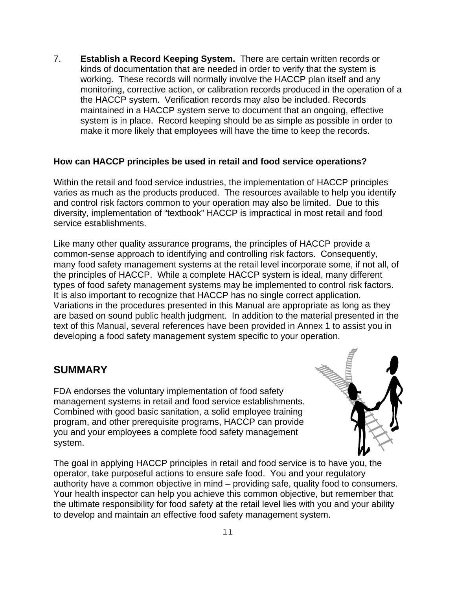7. **Establish a Record Keeping System.** There are certain written records or kinds of documentation that are needed in order to verify that the system is working. These records will normally involve the HACCP plan itself and any monitoring, corrective action, or calibration records produced in the operation of a the HACCP system. Verification records may also be included. Records maintained in a HACCP system serve to document that an ongoing, effective system is in place. Record keeping should be as simple as possible in order to make it more likely that employees will have the time to keep the records.

#### **How can HACCP principles be used in retail and food service operations?**

Within the retail and food service industries, the implementation of HACCP principles varies as much as the products produced. The resources available to help you identify and control risk factors common to your operation may also be limited. Due to this diversity, implementation of "textbook" HACCP is impractical in most retail and food service establishments.

Like many other quality assurance programs, the principles of HACCP provide a common-sense approach to identifying and controlling risk factors. Consequently, many food safety management systems at the retail level incorporate some, if not all, of the principles of HACCP. While a complete HACCP system is ideal, many different types of food safety management systems may be implemented to control risk factors. It is also important to recognize that HACCP has no single correct application. Variations in the procedures presented in this Manual are appropriate as long as they are based on sound public health judgment. In addition to the material presented in the text of this Manual, several references have been provided in Annex 1 to assist you in developing a food safety management system specific to your operation.

#### **SUMMARY**

FDA endorses the voluntary implementation of food safety management systems in retail and food service establishments. Combined with good basic sanitation, a solid employee training program, and other prerequisite programs, HACCP can provide you and your employees a complete food safety management system.



The goal in applying HACCP principles in retail and food service is to have you, the operator, take purposeful actions to ensure safe food. You and your regulatory authority have a common objective in mind – providing safe, quality food to consumers. Your health inspector can help you achieve this common objective, but remember that the ultimate responsibility for food safety at the retail level lies with you and your ability to develop and maintain an effective food safety management system.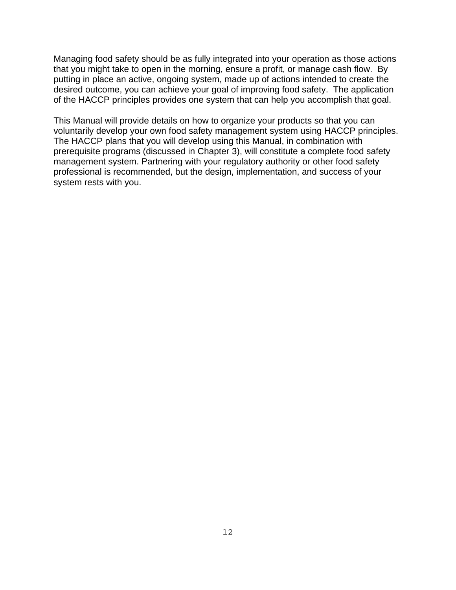Managing food safety should be as fully integrated into your operation as those actions that you might take to open in the morning, ensure a profit, or manage cash flow. By putting in place an active, ongoing system, made up of actions intended to create the desired outcome, you can achieve your goal of improving food safety.The application of the HACCP principles provides one system that can help you accomplish that goal.

This Manual will provide details on how to organize your products so that you can voluntarily develop your own food safety management system using HACCP principles. The HACCP plans that you will develop using this Manual, in combination with prerequisite programs (discussed in Chapter 3), will constitute a complete food safety management system. Partnering with your regulatory authority or other food safety professional is recommended, but the design, implementation, and success of your system rests with you.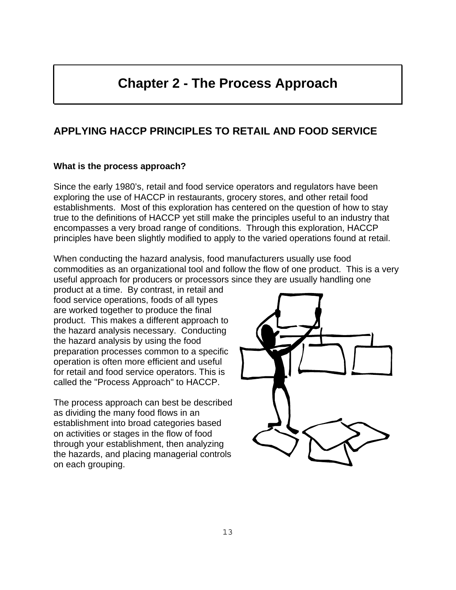# **Chapter 2 - The Process Approach**

## **APPLYING HACCP PRINCIPLES TO RETAIL AND FOOD SERVICE**

#### **What is the process approach?**

Since the early 1980's, retail and food service operators and regulators have been exploring the use of HACCP in restaurants, grocery stores, and other retail food establishments. Most of this exploration has centered on the question of how to stay true to the definitions of HACCP yet still make the principles useful to an industry that encompasses a very broad range of conditions. Through this exploration, HACCP principles have been slightly modified to apply to the varied operations found at retail.

When conducting the hazard analysis, food manufacturers usually use food commodities as an organizational tool and follow the flow of one product. This is a very useful approach for producers or processors since they are usually handling one

product at a time. By contrast, in retail and food service operations, foods of all types are worked together to produce the final product. This makes a different approach to the hazard analysis necessary. Conducting the hazard analysis by using the food preparation processes common to a specific operation is often more efficient and useful for retail and food service operators. This is called the "Process Approach" to HACCP.

The process approach can best be described as dividing the many food flows in an establishment into broad categories based on activities or stages in the flow of food through your establishment, then analyzing the hazards, and placing managerial controls on each grouping.

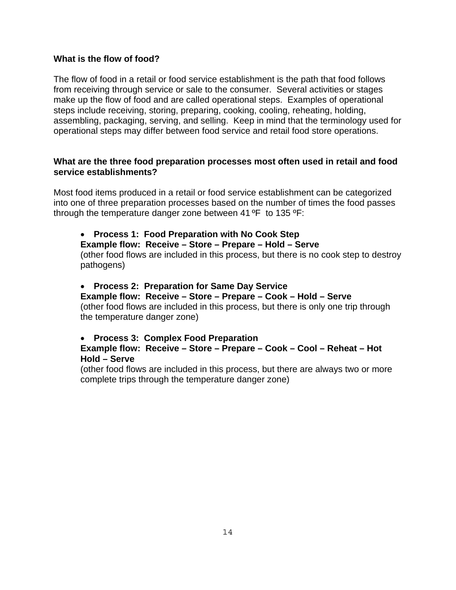#### **What is the flow of food?**

The flow of food in a retail or food service establishment is the path that food follows from receiving through service or sale to the consumer. Several activities or stages make up the flow of food and are called operational steps. Examples of operational steps include receiving, storing, preparing, cooking, cooling, reheating, holding, assembling, packaging, serving, and selling. Keep in mind that the terminology used for operational steps may differ between food service and retail food store operations.

#### **What are the three food preparation processes most often used in retail and food service establishments?**

Most food items produced in a retail or food service establishment can be categorized into one of three preparation processes based on the number of times the food passes through the temperature danger zone between 41 ºF to 135 ºF:

• **Process 1: Food Preparation with No Cook Step Example flow: Receive – Store – Prepare – Hold – Serve**  (other food flows are included in this process, but there is no cook step to destroy pathogens)

• **Process 2: Preparation for Same Day Service** 

 **Example flow: Receive – Store – Prepare – Cook – Hold – Serve**  (other food flows are included in this process, but there is only one trip through the temperature danger zone)

#### • **Process 3: Complex Food Preparation Example flow: Receive – Store – Prepare – Cook – Cool – Reheat – Hot**

#### **Hold – Serve**

(other food flows are included in this process, but there are always two or more complete trips through the temperature danger zone)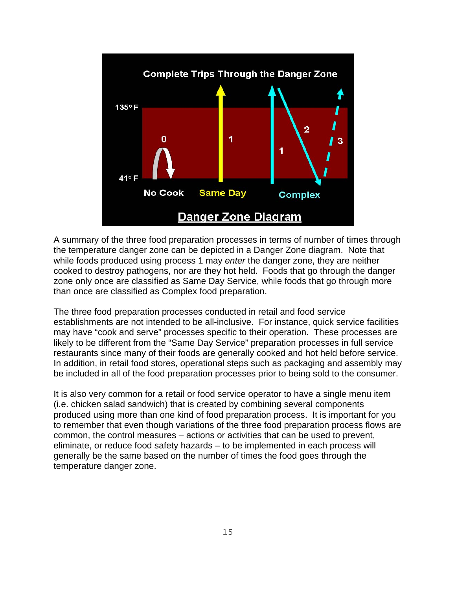

A summary of the three food preparation processes in terms of number of times through the temperature danger zone can be depicted in a Danger Zone diagram. Note that while foods produced using process 1 may *enter* the danger zone, they are neither cooked to destroy pathogens, nor are they hot held. Foods that go through the danger zone only once are classified as Same Day Service, while foods that go through more than once are classified as Complex food preparation.

The three food preparation processes conducted in retail and food service establishments are not intended to be all-inclusive. For instance, quick service facilities may have "cook and serve" processes specific to their operation. These processes are likely to be different from the "Same Day Service" preparation processes in full service restaurants since many of their foods are generally cooked and hot held before service. In addition, in retail food stores, operational steps such as packaging and assembly may be included in all of the food preparation processes prior to being sold to the consumer.

It is also very common for a retail or food service operator to have a single menu item (i.e. chicken salad sandwich) that is created by combining several components produced using more than one kind of food preparation process. It is important for you to remember that even though variations of the three food preparation process flows are common, the control measures – actions or activities that can be used to prevent, eliminate, or reduce food safety hazards – to be implemented in each process will generally be the same based on the number of times the food goes through the temperature danger zone.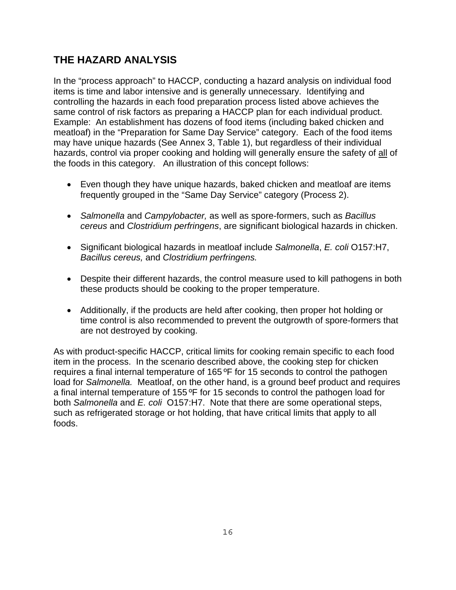## **THE HAZARD ANALYSIS**

In the "process approach" to HACCP, conducting a hazard analysis on individual food items is time and labor intensive and is generally unnecessary. Identifying and controlling the hazards in each food preparation process listed above achieves the same control of risk factors as preparing a HACCP plan for each individual product. Example: An establishment has dozens of food items (including baked chicken and meatloaf) in the "Preparation for Same Day Service" category. Each of the food items may have unique hazards (See Annex 3, Table 1), but regardless of their individual hazards, control via proper cooking and holding will generally ensure the safety of all of the foods in this category. An illustration of this concept follows:

- Even though they have unique hazards, baked chicken and meatloaf are items frequently grouped in the "Same Day Service" category (Process 2).
- *Salmonella* and *Campylobacter,* as well as spore-formers, such as *Bacillus cereus* and *Clostridium perfringens*, are significant biological hazards in chicken.
- Significant biological hazards in meatloaf include *Salmonella*, *E. coli* O157:H7, *Bacillus cereus,* and *Clostridium perfringens.*
- Despite their different hazards, the control measure used to kill pathogens in both these products should be cooking to the proper temperature.
- Additionally, if the products are held after cooking, then proper hot holding or time control is also recommended to prevent the outgrowth of spore-formers that are not destroyed by cooking.

As with product-specific HACCP, critical limits for cooking remain specific to each food item in the process. In the scenario described above, the cooking step for chicken requires a final internal temperature of 165 ºF for 15 seconds to control the pathogen load for *Salmonella.* Meatloaf, on the other hand, is a ground beef product and requires a final internal temperature of 155 ºF for 15 seconds to control the pathogen load for both *Salmonella* and *E. coli* O157:H7. Note that there are some operational steps, such as refrigerated storage or hot holding, that have critical limits that apply to all foods.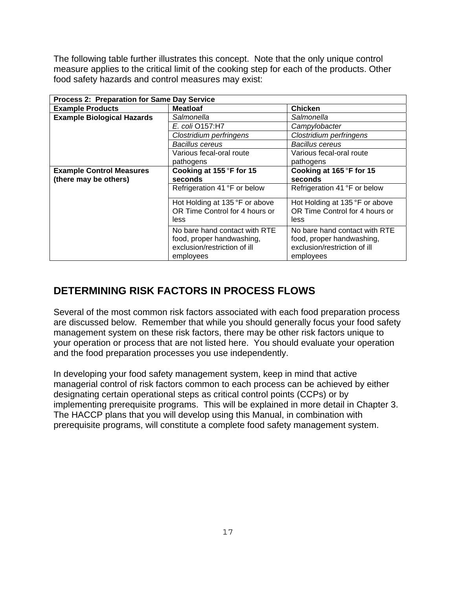The following table further illustrates this concept. Note that the only unique control measure applies to the critical limit of the cooking step for each of the products. Other food safety hazards and control measures may exist:

| Process 2: Preparation for Same Day Service |                                                                                                         |                                                                                                         |  |  |  |
|---------------------------------------------|---------------------------------------------------------------------------------------------------------|---------------------------------------------------------------------------------------------------------|--|--|--|
| <b>Example Products</b>                     | <b>Meatloaf</b>                                                                                         | <b>Chicken</b>                                                                                          |  |  |  |
| <b>Example Biological Hazards</b>           | Salmonella                                                                                              | Salmonella                                                                                              |  |  |  |
|                                             | E. coli O157:H7                                                                                         | Campylobacter                                                                                           |  |  |  |
|                                             | Clostridium perfringens                                                                                 | Clostridium perfringens                                                                                 |  |  |  |
|                                             | Bacillus cereus                                                                                         | Bacillus cereus                                                                                         |  |  |  |
|                                             | Various fecal-oral route                                                                                | Various fecal-oral route                                                                                |  |  |  |
|                                             | pathogens                                                                                               | pathogens                                                                                               |  |  |  |
| <b>Example Control Measures</b>             | Cooking at 155 °F for 15                                                                                | Cooking at 165 °F for 15                                                                                |  |  |  |
| (there may be others)                       | seconds                                                                                                 | seconds                                                                                                 |  |  |  |
|                                             | Refrigeration 41 °F or below                                                                            | Refrigeration 41 °F or below                                                                            |  |  |  |
|                                             | Hot Holding at 135 °F or above<br>OR Time Control for 4 hours or<br>less                                | Hot Holding at 135 °F or above<br>OR Time Control for 4 hours or<br>less                                |  |  |  |
|                                             | No bare hand contact with RTE<br>food, proper handwashing,<br>exclusion/restriction of ill<br>employees | No bare hand contact with RTE<br>food, proper handwashing,<br>exclusion/restriction of ill<br>employees |  |  |  |

## **DETERMINING RISK FACTORS IN PROCESS FLOWS**

Several of the most common risk factors associated with each food preparation process are discussed below. Remember that while you should generally focus your food safety management system on these risk factors, there may be other risk factors unique to your operation or process that are not listed here. You should evaluate your operation and the food preparation processes you use independently.

In developing your food safety management system, keep in mind that active managerial control of risk factors common to each process can be achieved by either designating certain operational steps as critical control points (CCPs) or by implementing prerequisite programs. This will be explained in more detail in Chapter 3. The HACCP plans that you will develop using this Manual, in combination with prerequisite programs, will constitute a complete food safety management system.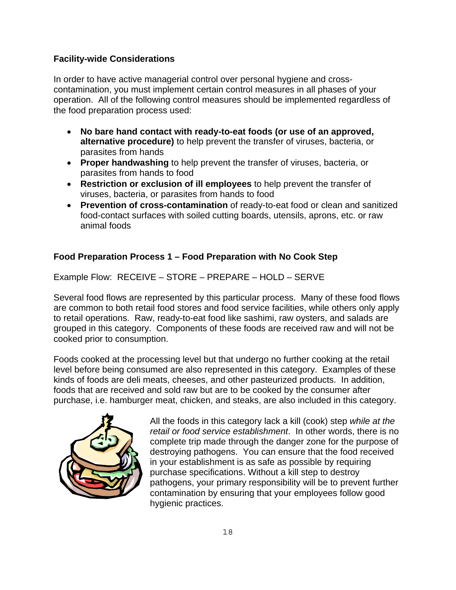#### **Facility-wide Considerations**

In order to have active managerial control over personal hygiene and crosscontamination, you must implement certain control measures in all phases of your operation. All of the following control measures should be implemented regardless of the food preparation process used:

- **No bare hand contact with ready-to-eat foods (or use of an approved, alternative procedure)** to help prevent the transfer of viruses, bacteria, or parasites from hands
- **Proper handwashing** to help prevent the transfer of viruses, bacteria, or parasites from hands to food
- **Restriction or exclusion of ill employees** to help prevent the transfer of viruses, bacteria, or parasites from hands to food
- **Prevention of cross-contamination** of ready-to-eat food or clean and sanitized food-contact surfaces with soiled cutting boards, utensils, aprons, etc. or raw animal foods

#### **Food Preparation Process 1 – Food Preparation with No Cook Step**

Example Flow: RECEIVE – STORE – PREPARE – HOLD – SERVE

Several food flows are represented by this particular process. Many of these food flows are common to both retail food stores and food service facilities, while others only apply to retail operations. Raw, ready-to-eat food like sashimi, raw oysters, and salads are grouped in this category. Components of these foods are received raw and will not be cooked prior to consumption.

Foods cooked at the processing level but that undergo no further cooking at the retail level before being consumed are also represented in this category. Examples of these kinds of foods are deli meats, cheeses, and other pasteurized products. In addition, foods that are received and sold raw but are to be cooked by the consumer after purchase, i.e. hamburger meat, chicken, and steaks, are also included in this category.



All the foods in this category lack a kill (cook) step *while at the retail or food service establishment*. In other words, there is no complete trip made through the danger zone for the purpose of destroying pathogens. You can ensure that the food received in your establishment is as safe as possible by requiring purchase specifications. Without a kill step to destroy pathogens, your primary responsibility will be to prevent further contamination by ensuring that your employees follow good hygienic practices.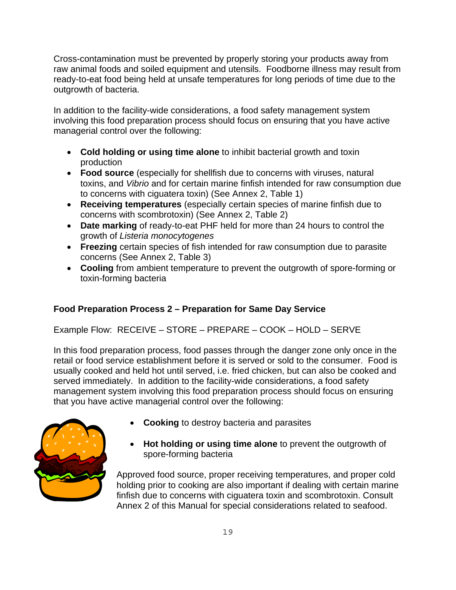Cross-contamination must be prevented by properly storing your products away from raw animal foods and soiled equipment and utensils. Foodborne illness may result from ready-to-eat food being held at unsafe temperatures for long periods of time due to the outgrowth of bacteria.

In addition to the facility-wide considerations, a food safety management system involving this food preparation process should focus on ensuring that you have active managerial control over the following:

- **Cold holding or using time alone** to inhibit bacterial growth and toxin production
- **Food source** (especially for shellfish due to concerns with viruses, natural toxins, and *Vibrio* and for certain marine finfish intended for raw consumption due to concerns with ciguatera toxin) (See Annex 2, Table 1)
- **Receiving temperatures** (especially certain species of marine finfish due to concerns with scombrotoxin) (See Annex 2, Table 2)
- **Date marking** of ready-to-eat PHF held for more than 24 hours to control the growth of *Listeria monocytogenes*
- **Freezing** certain species of fish intended for raw consumption due to parasite concerns (See Annex 2, Table 3)
- **Cooling** from ambient temperature to prevent the outgrowth of spore-forming or toxin-forming bacteria

## **Food Preparation Process 2 – Preparation for Same Day Service**

Example Flow: RECEIVE – STORE – PREPARE – COOK – HOLD – SERVE

In this food preparation process, food passes through the danger zone only once in the retail or food service establishment before it is served or sold to the consumer. Food is usually cooked and held hot until served, i.e. fried chicken, but can also be cooked and served immediately. In addition to the facility-wide considerations, a food safety management system involving this food preparation process should focus on ensuring that you have active managerial control over the following:



- **Cooking** to destroy bacteria and parasites
- **Hot holding or using time alone** to prevent the outgrowth of spore-forming bacteria

Approved food source, proper receiving temperatures, and proper cold holding prior to cooking are also important if dealing with certain marine finfish due to concerns with ciguatera toxin and scombrotoxin. Consult Annex 2 of this Manual for special considerations related to seafood.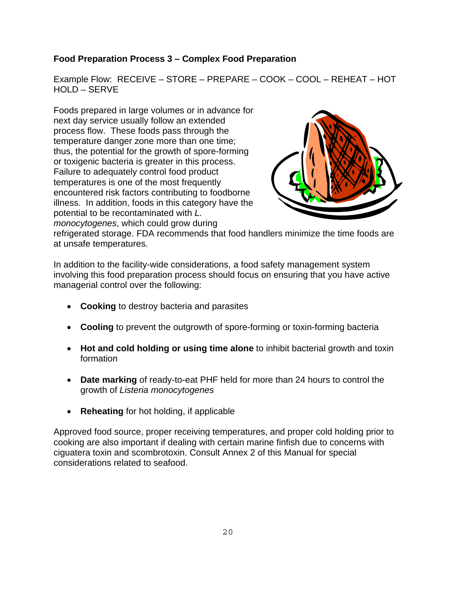#### **Food Preparation Process 3 – Complex Food Preparation**

Example Flow: RECEIVE – STORE – PREPARE – COOK – COOL – REHEAT – HOT HOLD – SERVE

Foods prepared in large volumes or in advance for next day service usually follow an extended process flow. These foods pass through the temperature danger zone more than one time; thus, the potential for the growth of spore-forming or toxigenic bacteria is greater in this process. Failure to adequately control food product temperatures is one of the most frequently encountered risk factors contributing to foodborne illness. In addition, foods in this category have the potential to be recontaminated with *L. monocytogenes*, which could grow during



refrigerated storage. FDA recommends that food handlers minimize the time foods are at unsafe temperatures.

In addition to the facility-wide considerations, a food safety management system involving this food preparation process should focus on ensuring that you have active managerial control over the following:

- **Cooking** to destroy bacteria and parasites
- **Cooling** to prevent the outgrowth of spore-forming or toxin-forming bacteria
- **Hot and cold holding or using time alone** to inhibit bacterial growth and toxin formation
- **Date marking** of ready-to-eat PHF held for more than 24 hours to control the growth of *Listeria monocytogenes*
- **Reheating** for hot holding, if applicable

Approved food source, proper receiving temperatures, and proper cold holding prior to cooking are also important if dealing with certain marine finfish due to concerns with ciguatera toxin and scombrotoxin. Consult Annex 2 of this Manual for special considerations related to seafood.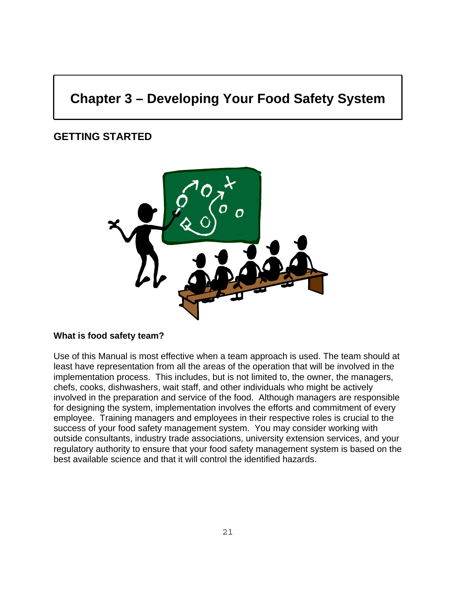# **Chapter 3 – Developing Your Food Safety System**

#### **GETTING STARTED**



#### **What is food safety team?**

Use of this Manual is most effective when a team approach is used. The team should at least have representation from all the areas of the operation that will be involved in the implementation process. This includes, but is not limited to, the owner, the managers, chefs, cooks, dishwashers, wait staff, and other individuals who might be actively involved in the preparation and service of the food. Although managers are responsible for designing the system, implementation involves the efforts and commitment of every employee. Training managers and employees in their respective roles is crucial to the success of your food safety management system. You may consider working with outside consultants, industry trade associations, university extension services, and your regulatory authority to ensure that your food safety management system is based on the best available science and that it will control the identified hazards.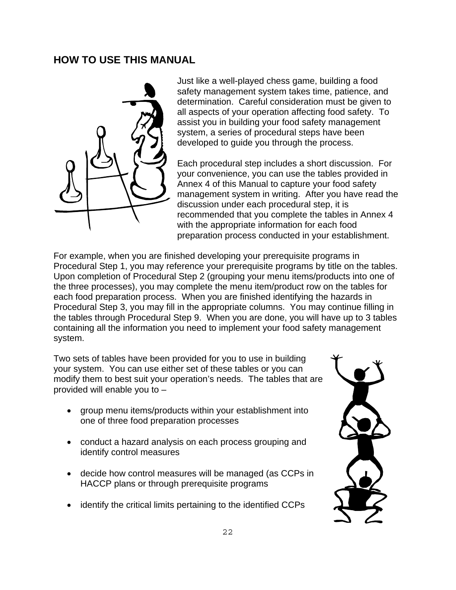#### **HOW TO USE THIS MANUAL**



Just like a well-played chess game, building a food safety management system takes time, patience, and determination. Careful consideration must be given to all aspects of your operation affecting food safety. To assist you in building your food safety management system, a series of procedural steps have been developed to guide you through the process.

Each procedural step includes a short discussion. For your convenience, you can use the tables provided in Annex 4 of this Manual to capture your food safety management system in writing. After you have read the discussion under each procedural step, it is recommended that you complete the tables in Annex 4 with the appropriate information for each food preparation process conducted in your establishment.

For example, when you are finished developing your prerequisite programs in Procedural Step 1, you may reference your prerequisite programs by title on the tables. Upon completion of Procedural Step 2 (grouping your menu items/products into one of the three processes), you may complete the menu item/product row on the tables for each food preparation process. When you are finished identifying the hazards in Procedural Step 3, you may fill in the appropriate columns. You may continue filling in the tables through Procedural Step 9. When you are done, you will have up to 3 tables containing all the information you need to implement your food safety management system.

Two sets of tables have been provided for you to use in building your system. You can use either set of these tables or you can modify them to best suit your operation's needs. The tables that are provided will enable you to –

- group menu items/products within your establishment into one of three food preparation processes
- conduct a hazard analysis on each process grouping and identify control measures
- decide how control measures will be managed (as CCPs in HACCP plans or through prerequisite programs
- identify the critical limits pertaining to the identified CCPs

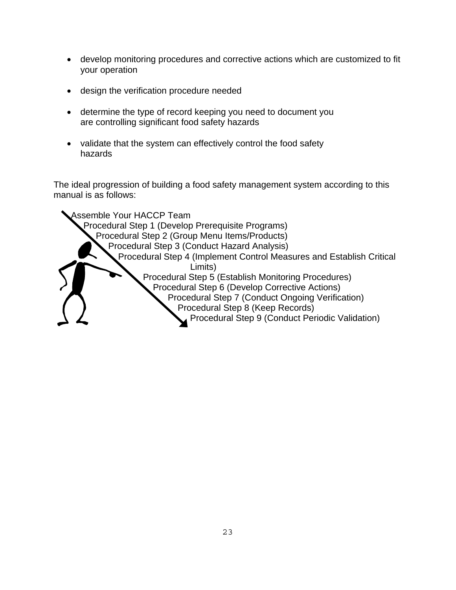- develop monitoring procedures and corrective actions which are customized to fit your operation
- design the verification procedure needed
- determine the type of record keeping you need to document you are controlling significant food safety hazards
- validate that the system can effectively control the food safety hazards

The ideal progression of building a food safety management system according to this manual is as follows:

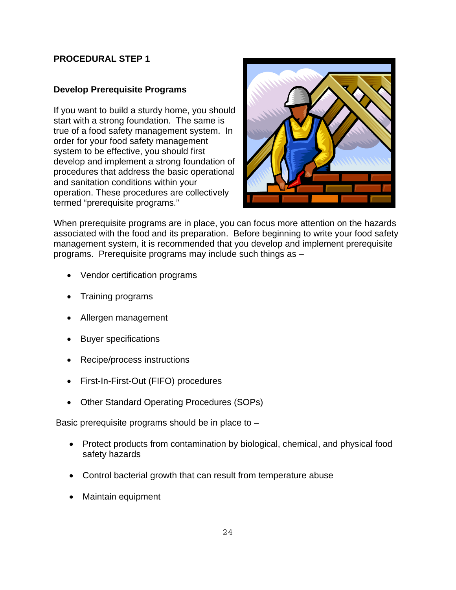#### **PROCEDURAL STEP 1**

#### **Develop Prerequisite Programs**

If you want to build a sturdy home, you should start with a strong foundation. The same is true of a food safety management system. In order for your food safety management system to be effective, you should first develop and implement a strong foundation of procedures that address the basic operational and sanitation conditions within your operation. These procedures are collectively termed "prerequisite programs."



When prerequisite programs are in place, you can focus more attention on the hazards associated with the food and its preparation. Before beginning to write your food safety management system, it is recommended that you develop and implement prerequisite programs. Prerequisite programs may include such things as –

- Vendor certification programs
- Training programs
- Allergen management
- Buyer specifications
- Recipe/process instructions
- First-In-First-Out (FIFO) procedures
- Other Standard Operating Procedures (SOPs)

Basic prerequisite programs should be in place to  $-$ 

- Protect products from contamination by biological, chemical, and physical food safety hazards
- Control bacterial growth that can result from temperature abuse
- Maintain equipment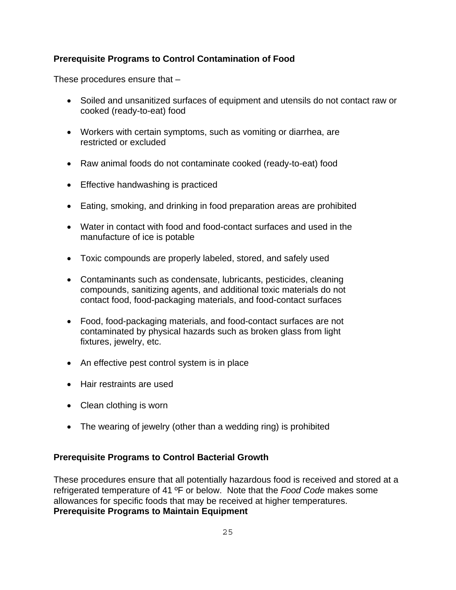#### **Prerequisite Programs to Control Contamination of Food**

These procedures ensure that –

- Soiled and unsanitized surfaces of equipment and utensils do not contact raw or cooked (ready-to-eat) food
- Workers with certain symptoms, such as vomiting or diarrhea, are restricted or excluded
- Raw animal foods do not contaminate cooked (ready-to-eat) food
- Effective handwashing is practiced
- Eating, smoking, and drinking in food preparation areas are prohibited
- Water in contact with food and food-contact surfaces and used in the manufacture of ice is potable
- Toxic compounds are properly labeled, stored, and safely used
- Contaminants such as condensate, lubricants, pesticides, cleaning compounds, sanitizing agents, and additional toxic materials do not contact food, food-packaging materials, and food-contact surfaces
- Food, food-packaging materials, and food-contact surfaces are not contaminated by physical hazards such as broken glass from light fixtures, jewelry, etc.
- An effective pest control system is in place
- Hair restraints are used
- Clean clothing is worn
- The wearing of jewelry (other than a wedding ring) is prohibited

#### **Prerequisite Programs to Control Bacterial Growth**

These procedures ensure that all potentially hazardous food is received and stored at a refrigerated temperature of 41 ºF or below. Note that the *Food Code* makes some allowances for specific foods that may be received at higher temperatures. **Prerequisite Programs to Maintain Equipment**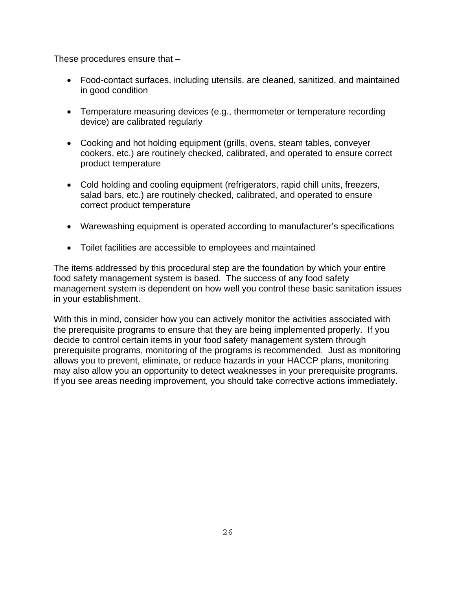These procedures ensure that –

- Food-contact surfaces, including utensils, are cleaned, sanitized, and maintained in good condition
- Temperature measuring devices (e.g., thermometer or temperature recording device) are calibrated regularly
- Cooking and hot holding equipment (grills, ovens, steam tables, conveyer cookers, etc.) are routinely checked, calibrated, and operated to ensure correct product temperature
- Cold holding and cooling equipment (refrigerators, rapid chill units, freezers, salad bars, etc.) are routinely checked, calibrated, and operated to ensure correct product temperature
- Warewashing equipment is operated according to manufacturer's specifications
- Toilet facilities are accessible to employees and maintained

The items addressed by this procedural step are the foundation by which your entire food safety management system is based. The success of any food safety management system is dependent on how well you control these basic sanitation issues in your establishment.

With this in mind, consider how you can actively monitor the activities associated with the prerequisite programs to ensure that they are being implemented properly. If you decide to control certain items in your food safety management system through prerequisite programs, monitoring of the programs is recommended. Just as monitoring allows you to prevent, eliminate, or reduce hazards in your HACCP plans, monitoring may also allow you an opportunity to detect weaknesses in your prerequisite programs. If you see areas needing improvement, you should take corrective actions immediately.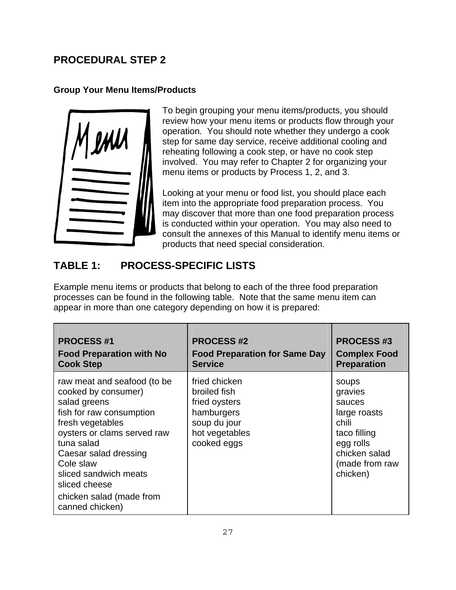## **PROCEDURAL STEP 2**

#### **Group Your Menu Items/Products**



To begin grouping your menu items/products, you should review how your menu items or products flow through your operation. You should note whether they undergo a cook step for same day service, receive additional cooling and reheating following a cook step, or have no cook step involved. You may refer to Chapter 2 for organizing your menu items or products by Process 1, 2, and 3.

Looking at your menu or food list, you should place each item into the appropriate food preparation process. You may discover that more than one food preparation process is conducted within your operation. You may also need to consult the annexes of this Manual to identify menu items or products that need special consideration.

## **TABLE 1: PROCESS-SPECIFIC LISTS**

Example menu items or products that belong to each of the three food preparation processes can be found in the following table. Note that the same menu item can appear in more than one category depending on how it is prepared:

| <b>PROCESS#1</b>                                                                                                                                                                                                                                                                               | <b>PROCESS#2</b>                                                                                              | <b>PROCESS#3</b>                                                                                                                |
|------------------------------------------------------------------------------------------------------------------------------------------------------------------------------------------------------------------------------------------------------------------------------------------------|---------------------------------------------------------------------------------------------------------------|---------------------------------------------------------------------------------------------------------------------------------|
| <b>Food Preparation with No</b>                                                                                                                                                                                                                                                                | <b>Food Preparation for Same Day</b>                                                                          | <b>Complex Food</b>                                                                                                             |
| <b>Cook Step</b>                                                                                                                                                                                                                                                                               | <b>Service</b>                                                                                                | <b>Preparation</b>                                                                                                              |
| raw meat and seafood (to be<br>cooked by consumer)<br>salad greens<br>fish for raw consumption<br>fresh vegetables<br>oysters or clams served raw<br>tuna salad<br>Caesar salad dressing<br>Cole slaw<br>sliced sandwich meats<br>sliced cheese<br>chicken salad (made from<br>canned chicken) | fried chicken<br>broiled fish<br>fried oysters<br>hamburgers<br>soup du jour<br>hot vegetables<br>cooked eggs | soups<br>gravies<br>sauces<br>large roasts<br>chili<br>taco filling<br>egg rolls<br>chicken salad<br>(made from raw<br>chicken) |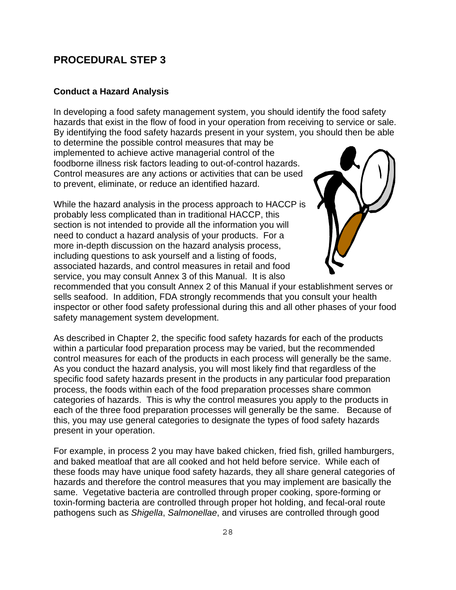#### **PROCEDURAL STEP 3**

#### **Conduct a Hazard Analysis**

In developing a food safety management system, you should identify the food safety hazards that exist in the flow of food in your operation from receiving to service or sale. By identifying the food safety hazards present in your system, you should then be able

to determine the possible control measures that may be implemented to achieve active managerial control of the foodborne illness risk factors leading to out-of-control hazards. Control measures are any actions or activities that can be used to prevent, eliminate, or reduce an identified hazard.

While the hazard analysis in the process approach to HACCP is probably less complicated than in traditional HACCP, this section is not intended to provide all the information you will need to conduct a hazard analysis of your products. For a more in-depth discussion on the hazard analysis process, including questions to ask yourself and a listing of foods, associated hazards, and control measures in retail and food service, you may consult Annex 3 of this Manual. It is also



recommended that you consult Annex 2 of this Manual if your establishment serves or sells seafood. In addition, FDA strongly recommends that you consult your health inspector or other food safety professional during this and all other phases of your food safety management system development.

As described in Chapter 2, the specific food safety hazards for each of the products within a particular food preparation process may be varied, but the recommended control measures for each of the products in each process will generally be the same. As you conduct the hazard analysis, you will most likely find that regardless of the specific food safety hazards present in the products in any particular food preparation process, the foods within each of the food preparation processes share common categories of hazards. This is why the control measures you apply to the products in each of the three food preparation processes will generally be the same. Because of this, you may use general categories to designate the types of food safety hazards present in your operation.

For example, in process 2 you may have baked chicken, fried fish, grilled hamburgers, and baked meatloaf that are all cooked and hot held before service. While each of these foods may have unique food safety hazards, they all share general categories of hazards and therefore the control measures that you may implement are basically the same. Vegetative bacteria are controlled through proper cooking, spore-forming or toxin-forming bacteria are controlled through proper hot holding, and fecal-oral route pathogens such as *Shigella*, *Salmonellae*, and viruses are controlled through good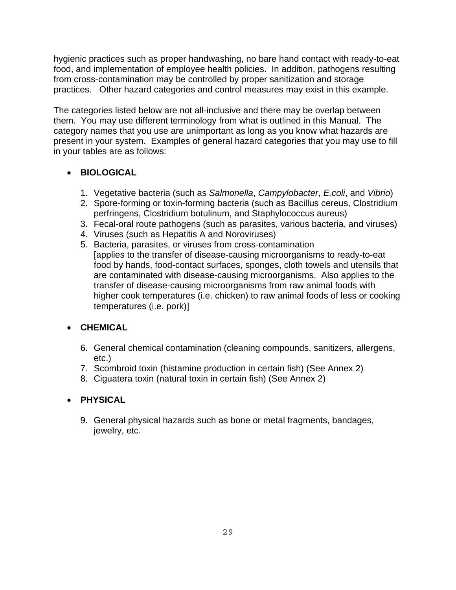hygienic practices such as proper handwashing, no bare hand contact with ready-to-eat food, and implementation of employee health policies. In addition, pathogens resulting from cross-contamination may be controlled by proper sanitization and storage practices. Other hazard categories and control measures may exist in this example.

The categories listed below are not all-inclusive and there may be overlap between them. You may use different terminology from what is outlined in this Manual. The category names that you use are unimportant as long as you know what hazards are present in your system. Examples of general hazard categories that you may use to fill in your tables are as follows:

#### • **BIOLOGICAL**

- 1. Vegetative bacteria (such as *Salmonella*, *Campylobacter*, *E.coli*, and *Vibrio*)
- 2. Spore-forming or toxin-forming bacteria (such as Bacillus cereus, Clostridium perfringens, Clostridium botulinum, and Staphylococcus aureus)
- 3. Fecal-oral route pathogens (such as parasites, various bacteria, and viruses)
- 4. Viruses (such as Hepatitis A and Noroviruses)
- 5. Bacteria, parasites, or viruses from cross-contamination [applies to the transfer of disease-causing microorganisms to ready-to-eat food by hands, food-contact surfaces, sponges, cloth towels and utensils that are contaminated with disease-causing microorganisms. Also applies to the transfer of disease-causing microorganisms from raw animal foods with higher cook temperatures (i.e. chicken) to raw animal foods of less or cooking temperatures (i.e. pork)]

## • **CHEMICAL**

- 6. General chemical contamination (cleaning compounds, sanitizers, allergens, etc.)
- 7. Scombroid toxin (histamine production in certain fish) (See Annex 2)
- 8. Ciguatera toxin (natural toxin in certain fish) (See Annex 2)

#### • **PHYSICAL**

9. General physical hazards such as bone or metal fragments, bandages, jewelry, etc.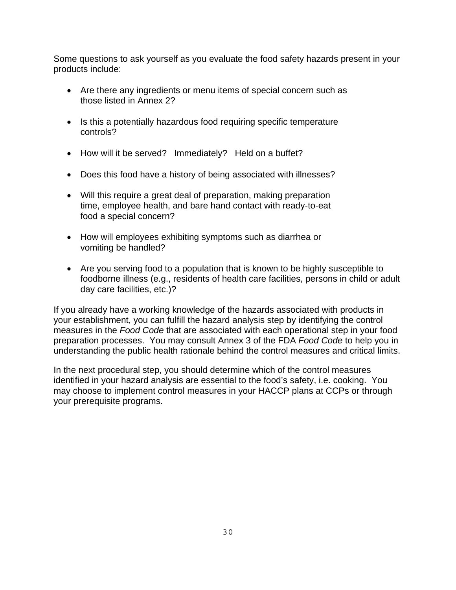Some questions to ask yourself as you evaluate the food safety hazards present in your products include:

- Are there any ingredients or menu items of special concern such as those listed in Annex 2?
- Is this a potentially hazardous food requiring specific temperature controls?
- How will it be served? Immediately? Held on a buffet?
- Does this food have a history of being associated with illnesses?
- Will this require a great deal of preparation, making preparation time, employee health, and bare hand contact with ready-to-eat food a special concern?
- How will employees exhibiting symptoms such as diarrhea or vomiting be handled?
- Are you serving food to a population that is known to be highly susceptible to foodborne illness (e.g., residents of health care facilities, persons in child or adult day care facilities, etc.)?

If you already have a working knowledge of the hazards associated with products in your establishment, you can fulfill the hazard analysis step by identifying the control measures in the *Food Code* that are associated with each operational step in your food preparation processes. You may consult Annex 3 of the FDA *Food Code* to help you in understanding the public health rationale behind the control measures and critical limits.

In the next procedural step, you should determine which of the control measures identified in your hazard analysis are essential to the food's safety, i.e. cooking. You may choose to implement control measures in your HACCP plans at CCPs or through your prerequisite programs.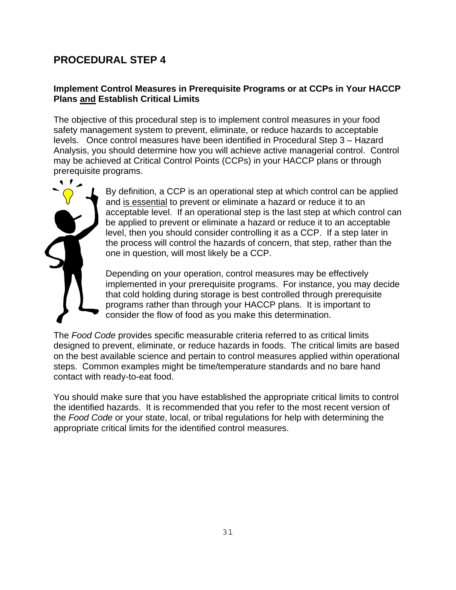## **PROCEDURAL STEP 4**

#### **Implement Control Measures in Prerequisite Programs or at CCPs in Your HACCP Plans and Establish Critical Limits**

The objective of this procedural step is to implement control measures in your food safety management system to prevent, eliminate, or reduce hazards to acceptable levels. Once control measures have been identified in Procedural Step 3 – Hazard Analysis, you should determine how you will achieve active managerial control. Control may be achieved at Critical Control Points (CCPs) in your HACCP plans or through prerequisite programs.



By definition, a CCP is an operational step at which control can be applied and is essential to prevent or eliminate a hazard or reduce it to an acceptable level. If an operational step is the last step at which control can be applied to prevent or eliminate a hazard or reduce it to an acceptable level, then you should consider controlling it as a CCP. If a step later in the process will control the hazards of concern, that step, rather than the one in question, will most likely be a CCP.

Depending on your operation, control measures may be effectively implemented in your prerequisite programs. For instance, you may decide that cold holding during storage is best controlled through prerequisite programs rather than through your HACCP plans. It is important to consider the flow of food as you make this determination.

The *Food Code* provides specific measurable criteria referred to as critical limits designed to prevent, eliminate, or reduce hazards in foods. The critical limits are based on the best available science and pertain to control measures applied within operational steps. Common examples might be time/temperature standards and no bare hand contact with ready-to-eat food.

You should make sure that you have established the appropriate critical limits to control the identified hazards. It is recommended that you refer to the most recent version of the *Food Code* or your state, local, or tribal regulations for help with determining the appropriate critical limits for the identified control measures.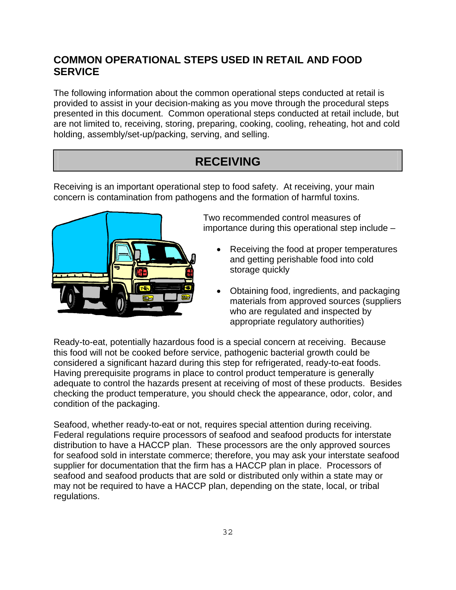## **COMMON OPERATIONAL STEPS USED IN RETAIL AND FOOD SERVICE**

The following information about the common operational steps conducted at retail is provided to assist in your decision-making as you move through the procedural steps presented in this document. Common operational steps conducted at retail include, but are not limited to, receiving, storing, preparing, cooking, cooling, reheating, hot and cold holding, assembly/set-up/packing, serving, and selling.

## **RECEIVING**

Receiving is an important operational step to food safety. At receiving, your main concern is contamination from pathogens and the formation of harmful toxins.



Two recommended control measures of importance during this operational step include –

- Receiving the food at proper temperatures and getting perishable food into cold storage quickly
- Obtaining food, ingredients, and packaging materials from approved sources (suppliers who are regulated and inspected by appropriate regulatory authorities)

Ready-to-eat, potentially hazardous food is a special concern at receiving. Because this food will not be cooked before service, pathogenic bacterial growth could be considered a significant hazard during this step for refrigerated, ready-to-eat foods. Having prerequisite programs in place to control product temperature is generally adequate to control the hazards present at receiving of most of these products. Besides checking the product temperature, you should check the appearance, odor, color, and condition of the packaging.

Seafood, whether ready-to-eat or not, requires special attention during receiving. Federal regulations require processors of seafood and seafood products for interstate distribution to have a HACCP plan. These processors are the only approved sources for seafood sold in interstate commerce; therefore, you may ask your interstate seafood supplier for documentation that the firm has a HACCP plan in place. Processors of seafood and seafood products that are sold or distributed only within a state may or may not be required to have a HACCP plan, depending on the state, local, or tribal regulations.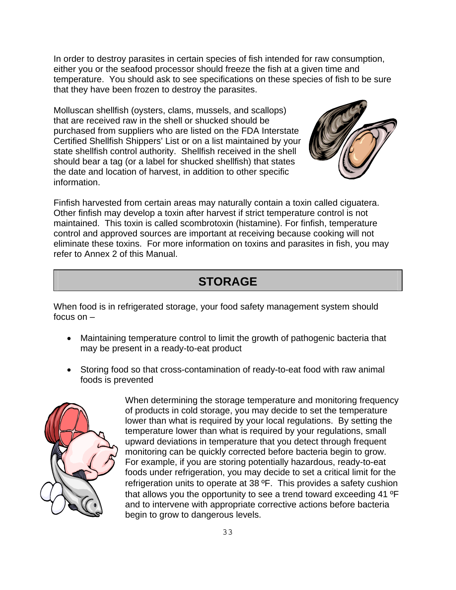In order to destroy parasites in certain species of fish intended for raw consumption, either you or the seafood processor should freeze the fish at a given time and temperature. You should ask to see specifications on these species of fish to be sure that they have been frozen to destroy the parasites.

Molluscan shellfish (oysters, clams, mussels, and scallops) that are received raw in the shell or shucked should be purchased from suppliers who are listed on the FDA Interstate Certified Shellfish Shippers' List or on a list maintained by your state shellfish control authority. Shellfish received in the shell should bear a tag (or a label for shucked shellfish) that states the date and location of harvest, in addition to other specific information.



Finfish harvested from certain areas may naturally contain a toxin called ciguatera. Other finfish may develop a toxin after harvest if strict temperature control is not maintained. This toxin is called scombrotoxin (histamine). For finfish, temperature control and approved sources are important at receiving because cooking will not eliminate these toxins. For more information on toxins and parasites in fish, you may refer to Annex 2 of this Manual.

## **STORAGE**

When food is in refrigerated storage, your food safety management system should focus on –

- Maintaining temperature control to limit the growth of pathogenic bacteria that may be present in a ready-to-eat product
- Storing food so that cross-contamination of ready-to-eat food with raw animal foods is prevented



When determining the storage temperature and monitoring frequency of products in cold storage, you may decide to set the temperature lower than what is required by your local regulations. By setting the temperature lower than what is required by your regulations, small upward deviations in temperature that you detect through frequent monitoring can be quickly corrected before bacteria begin to grow. For example, if you are storing potentially hazardous, ready-to-eat foods under refrigeration, you may decide to set a critical limit for the refrigeration units to operate at 38 ºF. This provides a safety cushion that allows you the opportunity to see a trend toward exceeding 41 ºF and to intervene with appropriate corrective actions before bacteria begin to grow to dangerous levels.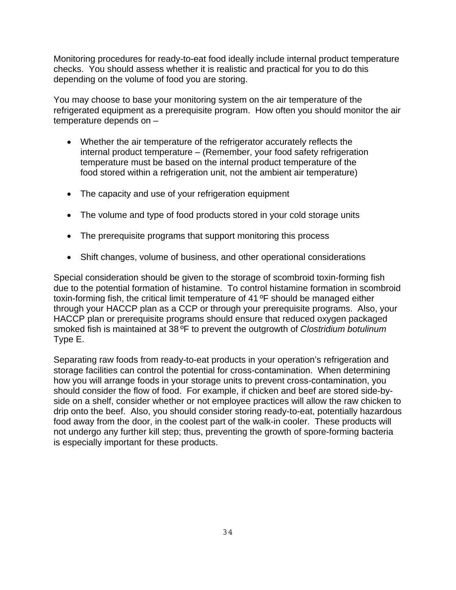Monitoring procedures for ready-to-eat food ideally include internal product temperature checks. You should assess whether it is realistic and practical for you to do this depending on the volume of food you are storing.

You may choose to base your monitoring system on the air temperature of the refrigerated equipment as a prerequisite program. How often you should monitor the air temperature depends on –

- Whether the air temperature of the refrigerator accurately reflects the internal product temperature – (Remember, your food safety refrigeration temperature must be based on the internal product temperature of the food stored within a refrigeration unit, not the ambient air temperature)
- The capacity and use of your refrigeration equipment
- The volume and type of food products stored in your cold storage units
- The prerequisite programs that support monitoring this process
- Shift changes, volume of business, and other operational considerations

Special consideration should be given to the storage of scombroid toxin-forming fish due to the potential formation of histamine. To control histamine formation in scombroid toxin-forming fish, the critical limit temperature of 41 ºF should be managed either through your HACCP plan as a CCP or through your prerequisite programs. Also, your HACCP plan or prerequisite programs should ensure that reduced oxygen packaged smoked fish is maintained at 38 ºF to prevent the outgrowth of *Clostridium botulinum*  Type E.

Separating raw foods from ready-to-eat products in your operation's refrigeration and storage facilities can control the potential for cross-contamination. When determining how you will arrange foods in your storage units to prevent cross-contamination, you should consider the flow of food. For example, if chicken and beef are stored side-byside on a shelf, consider whether or not employee practices will allow the raw chicken to drip onto the beef. Also, you should consider storing ready-to-eat, potentially hazardous food away from the door, in the coolest part of the walk-in cooler. These products will not undergo any further kill step; thus, preventing the growth of spore-forming bacteria is especially important for these products.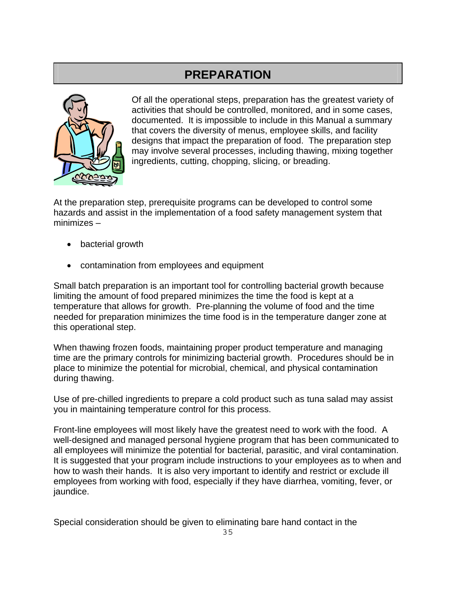# **PREPARATION**



Of all the operational steps, preparation has the greatest variety of activities that should be controlled, monitored, and in some cases, documented. It is impossible to include in this Manual a summary that covers the diversity of menus, employee skills, and facility designs that impact the preparation of food. The preparation step may involve several processes, including thawing, mixing together ingredients, cutting, chopping, slicing, or breading.

At the preparation step, prerequisite programs can be developed to control some hazards and assist in the implementation of a food safety management system that minimizes –

- bacterial growth
- contamination from employees and equipment

Small batch preparation is an important tool for controlling bacterial growth because limiting the amount of food prepared minimizes the time the food is kept at a temperature that allows for growth. Pre-planning the volume of food and the time needed for preparation minimizes the time food is in the temperature danger zone at this operational step.

When thawing frozen foods, maintaining proper product temperature and managing time are the primary controls for minimizing bacterial growth. Procedures should be in place to minimize the potential for microbial, chemical, and physical contamination during thawing.

Use of pre-chilled ingredients to prepare a cold product such as tuna salad may assist you in maintaining temperature control for this process.

Front-line employees will most likely have the greatest need to work with the food. A well-designed and managed personal hygiene program that has been communicated to all employees will minimize the potential for bacterial, parasitic, and viral contamination. It is suggested that your program include instructions to your employees as to when and how to wash their hands. It is also very important to identify and restrict or exclude ill employees from working with food, especially if they have diarrhea, vomiting, fever, or jaundice.

Special consideration should be given to eliminating bare hand contact in the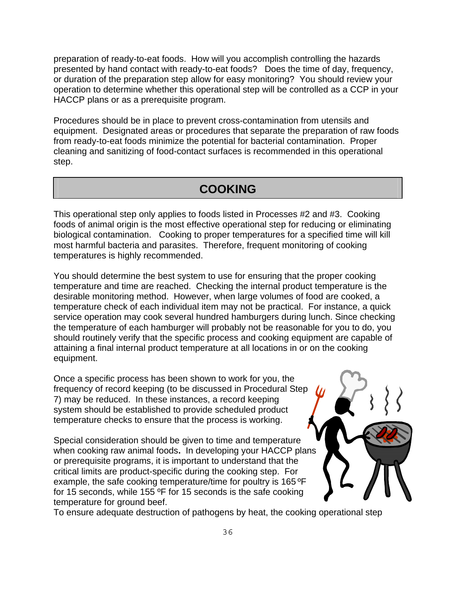preparation of ready-to-eat foods. How will you accomplish controlling the hazards presented by hand contact with ready-to-eat foods? Does the time of day, frequency, or duration of the preparation step allow for easy monitoring? You should review your operation to determine whether this operational step will be controlled as a CCP in your HACCP plans or as a prerequisite program.

Procedures should be in place to prevent cross-contamination from utensils and equipment. Designated areas or procedures that separate the preparation of raw foods from ready-to-eat foods minimize the potential for bacterial contamination. Proper cleaning and sanitizing of food-contact surfaces is recommended in this operational step.

## **COOKING**

This operational step only applies to foods listed in Processes #2 and #3. Cooking foods of animal origin is the most effective operational step for reducing or eliminating biological contamination. Cooking to proper temperatures for a specified time will kill most harmful bacteria and parasites. Therefore, frequent monitoring of cooking temperatures is highly recommended.

You should determine the best system to use for ensuring that the proper cooking temperature and time are reached. Checking the internal product temperature is the desirable monitoring method. However, when large volumes of food are cooked, a temperature check of each individual item may not be practical. For instance, a quick service operation may cook several hundred hamburgers during lunch. Since checking the temperature of each hamburger will probably not be reasonable for you to do, you should routinely verify that the specific process and cooking equipment are capable of attaining a final internal product temperature at all locations in or on the cooking equipment.

Once a specific process has been shown to work for you, the frequency of record keeping (to be discussed in Procedural Step 7) may be reduced. In these instances, a record keeping system should be established to provide scheduled product temperature checks to ensure that the process is working.

Special consideration should be given to time and temperature when cooking raw animal foods**.** In developing your HACCP plans or prerequisite programs, it is important to understand that the critical limits are product-specific during the cooking step. For example, the safe cooking temperature/time for poultry is 165 ºF for 15 seconds, while 155 ºF for 15 seconds is the safe cooking temperature for ground beef.

To ensure adequate destruction of pathogens by heat, the cooking operational step

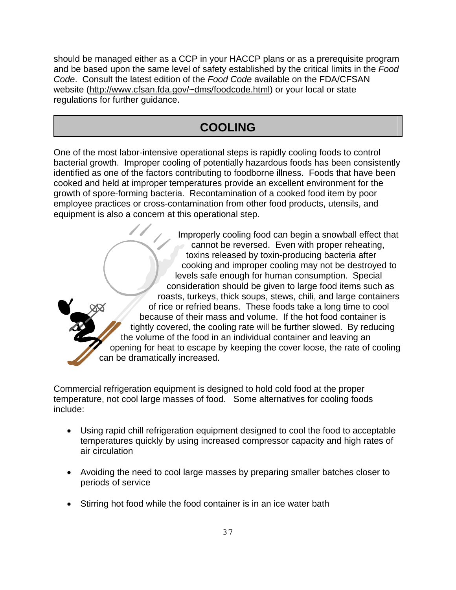should be managed either as a CCP in your HACCP plans or as a prerequisite program and be based upon the same level of safety established by the critical limits in the *Food Code*. Consult the latest edition of the *Food Code* available on the FDA/CFSAN website (http://www.cfsan.fda.gov/~dms/foodcode.html) or your local or state regulations for further guidance.

# **COOLING**

One of the most labor-intensive operational steps is rapidly cooling foods to control bacterial growth. Improper cooling of potentially hazardous foods has been consistently identified as one of the factors contributing to foodborne illness. Foods that have been cooked and held at improper temperatures provide an excellent environment for the growth of spore-forming bacteria. Recontamination of a cooked food item by poor employee practices or cross-contamination from other food products, utensils, and equipment is also a concern at this operational step.

 Improperly cooling food can begin a snowball effect that cannot be reversed. Even with proper reheating, toxins released by toxin-producing bacteria after cooking and improper cooling may not be destroyed to levels safe enough for human consumption. Special consideration should be given to large food items such as roasts, turkeys, thick soups, stews, chili, and large containers of rice or refried beans. These foods take a long time to cool because of their mass and volume. If the hot food container is tightly covered, the cooling rate will be further slowed. By reducing the volume of the food in an individual container and leaving an opening for heat to escape by keeping the cover loose, the rate of cooling can be dramatically increased.

Commercial refrigeration equipment is designed to hold cold food at the proper temperature, not cool large masses of food. Some alternatives for cooling foods include:

- Using rapid chill refrigeration equipment designed to cool the food to acceptable temperatures quickly by using increased compressor capacity and high rates of air circulation
- Avoiding the need to cool large masses by preparing smaller batches closer to periods of service
- Stirring hot food while the food container is in an ice water bath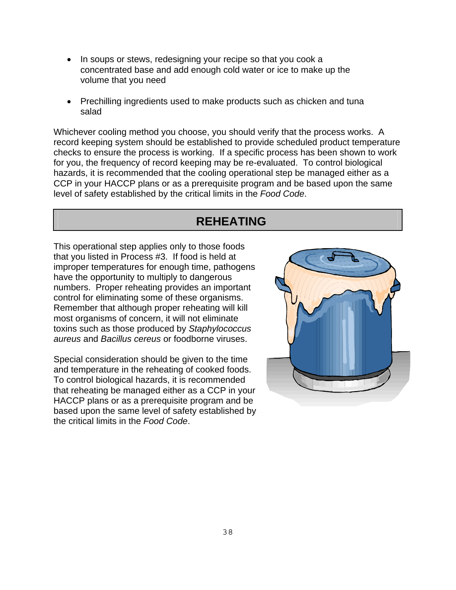- In soups or stews, redesigning your recipe so that you cook a concentrated base and add enough cold water or ice to make up the volume that you need
- Prechilling ingredients used to make products such as chicken and tuna salad

Whichever cooling method you choose, you should verify that the process works. A record keeping system should be established to provide scheduled product temperature checks to ensure the process is working. If a specific process has been shown to work for you, the frequency of record keeping may be re-evaluated. To control biological hazards, it is recommended that the cooling operational step be managed either as a CCP in your HACCP plans or as a prerequisite program and be based upon the same level of safety established by the critical limits in the *Food Code*.

## **REHEATING**

This operational step applies only to those foods that you listed in Process #3. If food is held at improper temperatures for enough time, pathogens have the opportunity to multiply to dangerous numbers. Proper reheating provides an important control for eliminating some of these organisms. Remember that although proper reheating will kill most organisms of concern, it will not eliminate toxins such as those produced by *Staphylococcus aureus* and *Bacillus cereus* or foodborne viruses.

Special consideration should be given to the time and temperature in the reheating of cooked foods. To control biological hazards, it is recommended that reheating be managed either as a CCP in your HACCP plans or as a prerequisite program and be based upon the same level of safety established by the critical limits in the *Food Code*.

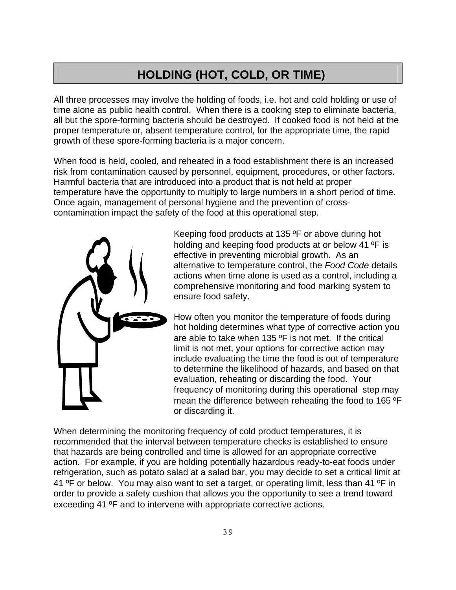# **HOLDING (HOT, COLD, OR TIME)**

All three processes may involve the holding of foods, i.e. hot and cold holding or use of time alone as public health control. When there is a cooking step to eliminate bacteria, all but the spore-forming bacteria should be destroyed. If cooked food is not held at the proper temperature or, absent temperature control, for the appropriate time, the rapid growth of these spore-forming bacteria is a major concern.

When food is held, cooled, and reheated in a food establishment there is an increased risk from contamination caused by personnel, equipment, procedures, or other factors. Harmful bacteria that are introduced into a product that is not held at proper temperature have the opportunity to multiply to large numbers in a short period of time. Once again, management of personal hygiene and the prevention of crosscontamination impact the safety of the food at this operational step.



Keeping food products at 135 ºF or above during hot holding and keeping food products at or below 41 ºF is effective in preventing microbial growth**.** As an alternative to temperature control, the *Food Code* details actions when time alone is used as a control, including a comprehensive monitoring and food marking system to ensure food safety.

How often you monitor the temperature of foods during hot holding determines what type of corrective action you are able to take when 135 ºF is not met. If the critical limit is not met, your options for corrective action may include evaluating the time the food is out of temperature to determine the likelihood of hazards, and based on that evaluation, reheating or discarding the food. Your frequency of monitoring during this operational step may mean the difference between reheating the food to 165 ºF or discarding it.

When determining the monitoring frequency of cold product temperatures, it is recommended that the interval between temperature checks is established to ensure that hazards are being controlled and time is allowed for an appropriate corrective action. For example, if you are holding potentially hazardous ready-to-eat foods under refrigeration, such as potato salad at a salad bar, you may decide to set a critical limit at 41 °F or below. You may also want to set a target, or operating limit, less than 41 °F in order to provide a safety cushion that allows you the opportunity to see a trend toward exceeding 41 ºF and to intervene with appropriate corrective actions.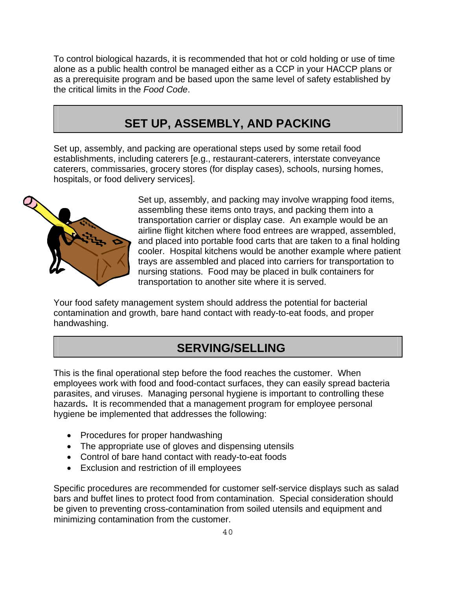To control biological hazards, it is recommended that hot or cold holding or use of time alone as a public health control be managed either as a CCP in your HACCP plans or as a prerequisite program and be based upon the same level of safety established by the critical limits in the *Food Code*.

# **SET UP, ASSEMBLY, AND PACKING**

Set up, assembly, and packing are operational steps used by some retail food establishments, including caterers [e.g., restaurant-caterers, interstate conveyance caterers, commissaries, grocery stores (for display cases), schools, nursing homes, hospitals, or food delivery services].



Set up, assembly, and packing may involve wrapping food items, assembling these items onto trays, and packing them into a transportation carrier or display case. An example would be an airline flight kitchen where food entrees are wrapped, assembled, and placed into portable food carts that are taken to a final holding cooler. Hospital kitchens would be another example where patient trays are assembled and placed into carriers for transportation to nursing stations. Food may be placed in bulk containers for transportation to another site where it is served.

Your food safety management system should address the potential for bacterial contamination and growth, bare hand contact with ready-to-eat foods, and proper handwashing.

# **SERVING/SELLING**

This is the final operational step before the food reaches the customer. When employees work with food and food-contact surfaces, they can easily spread bacteria parasites, and viruses. Managing personal hygiene is important to controlling these hazards**.** It is recommended that a management program for employee personal hygiene be implemented that addresses the following:

- Procedures for proper handwashing
- The appropriate use of gloves and dispensing utensils
- Control of bare hand contact with ready-to-eat foods
- Exclusion and restriction of ill employees

Specific procedures are recommended for customer self-service displays such as salad bars and buffet lines to protect food from contamination. Special consideration should be given to preventing cross-contamination from soiled utensils and equipment and minimizing contamination from the customer.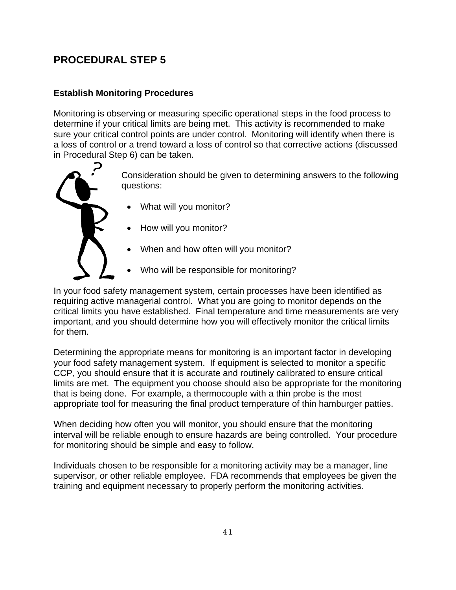#### **Establish Monitoring Procedures**

Monitoring is observing or measuring specific operational steps in the food process to determine if your critical limits are being met. This activity is recommended to make sure your critical control points are under control. Monitoring will identify when there is a loss of control or a trend toward a loss of control so that corrective actions (discussed in Procedural Step 6) can be taken.



- What will you monitor?
- How will you monitor?
- When and how often will you monitor?
- Who will be responsible for monitoring?

In your food safety management system, certain processes have been identified as requiring active managerial control. What you are going to monitor depends on the critical limits you have established. Final temperature and time measurements are very important, and you should determine how you will effectively monitor the critical limits for them.

Determining the appropriate means for monitoring is an important factor in developing your food safety management system. If equipment is selected to monitor a specific CCP, you should ensure that it is accurate and routinely calibrated to ensure critical limits are met. The equipment you choose should also be appropriate for the monitoring that is being done. For example, a thermocouple with a thin probe is the most appropriate tool for measuring the final product temperature of thin hamburger patties.

When deciding how often you will monitor, you should ensure that the monitoring interval will be reliable enough to ensure hazards are being controlled. Your procedure for monitoring should be simple and easy to follow.

Individuals chosen to be responsible for a monitoring activity may be a manager, line supervisor, or other reliable employee. FDA recommends that employees be given the training and equipment necessary to properly perform the monitoring activities.

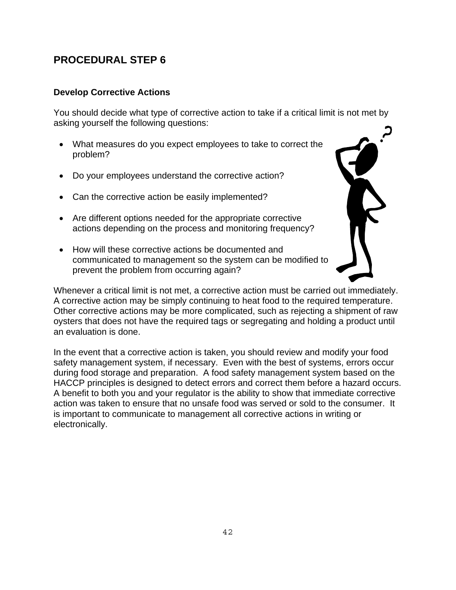#### **Develop Corrective Actions**

You should decide what type of corrective action to take if a critical limit is not met by asking yourself the following questions:

- What measures do you expect employees to take to correct the problem?
- Do your employees understand the corrective action?
- Can the corrective action be easily implemented?
- Are different options needed for the appropriate corrective actions depending on the process and monitoring frequency?
- How will these corrective actions be documented and communicated to management so the system can be modified to prevent the problem from occurring again?



Whenever a critical limit is not met, a corrective action must be carried out immediately. A corrective action may be simply continuing to heat food to the required temperature. Other corrective actions may be more complicated, such as rejecting a shipment of raw oysters that does not have the required tags or segregating and holding a product until an evaluation is done.

In the event that a corrective action is taken, you should review and modify your food safety management system, if necessary. Even with the best of systems, errors occur during food storage and preparation. A food safety management system based on the HACCP principles is designed to detect errors and correct them before a hazard occurs. A benefit to both you and your regulator is the ability to show that immediate corrective action was taken to ensure that no unsafe food was served or sold to the consumer. It is important to communicate to management all corrective actions in writing or electronically.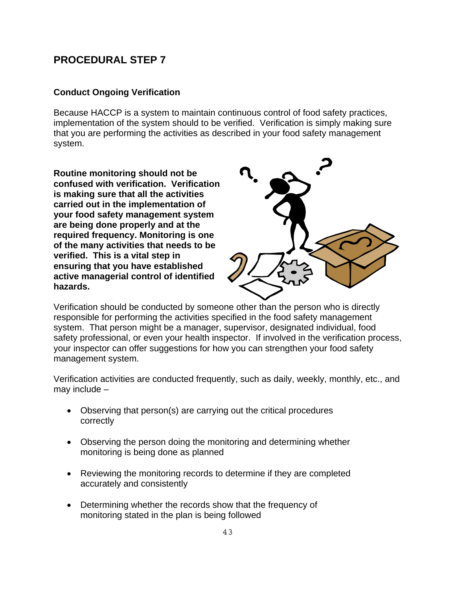#### **Conduct Ongoing Verification**

Because HACCP is a system to maintain continuous control of food safety practices, implementation of the system should to be verified. Verification is simply making sure that you are performing the activities as described in your food safety management system.

**Routine monitoring should not be confused with verification. Verification is making sure that all the activities carried out in the implementation of your food safety management system are being done properly and at the required frequency. Monitoring is one of the many activities that needs to be verified. This is a vital step in ensuring that you have established active managerial control of identified hazards.** 



Verification should be conducted by someone other than the person who is directly responsible for performing the activities specified in the food safety management system. That person might be a manager, supervisor, designated individual, food safety professional, or even your health inspector. If involved in the verification process, your inspector can offer suggestions for how you can strengthen your food safety management system.

Verification activities are conducted frequently, such as daily, weekly, monthly, etc., and may include –

- Observing that person(s) are carrying out the critical procedures correctly
- Observing the person doing the monitoring and determining whether monitoring is being done as planned
- Reviewing the monitoring records to determine if they are completed accurately and consistently
- Determining whether the records show that the frequency of monitoring stated in the plan is being followed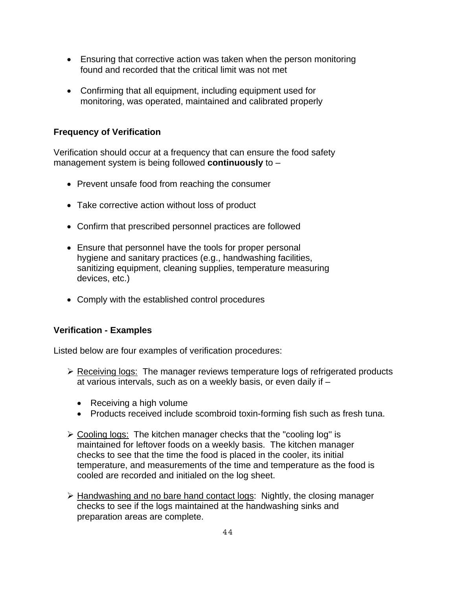- Ensuring that corrective action was taken when the person monitoring found and recorded that the critical limit was not met
- Confirming that all equipment, including equipment used for monitoring, was operated, maintained and calibrated properly

#### **Frequency of Verification**

Verification should occur at a frequency that can ensure the food safety management system is being followed **continuously** to –

- Prevent unsafe food from reaching the consumer
- Take corrective action without loss of product
- Confirm that prescribed personnel practices are followed
- Ensure that personnel have the tools for proper personal hygiene and sanitary practices (e.g., handwashing facilities, sanitizing equipment, cleaning supplies, temperature measuring devices, etc.)
- Comply with the established control procedures

#### **Verification - Examples**

Listed below are four examples of verification procedures:

- $\triangleright$  Receiving logs: The manager reviews temperature logs of refrigerated products at various intervals, such as on a weekly basis, or even daily if –
	- Receiving a high volume
	- Products received include scombroid toxin-forming fish such as fresh tuna.
- $\triangleright$  Cooling logs: The kitchen manager checks that the "cooling log" is maintained for leftover foods on a weekly basis. The kitchen manager checks to see that the time the food is placed in the cooler, its initial temperature, and measurements of the time and temperature as the food is cooled are recorded and initialed on the log sheet.
- $\triangleright$  Handwashing and no bare hand contact logs: Nightly, the closing manager checks to see if the logs maintained at the handwashing sinks and preparation areas are complete.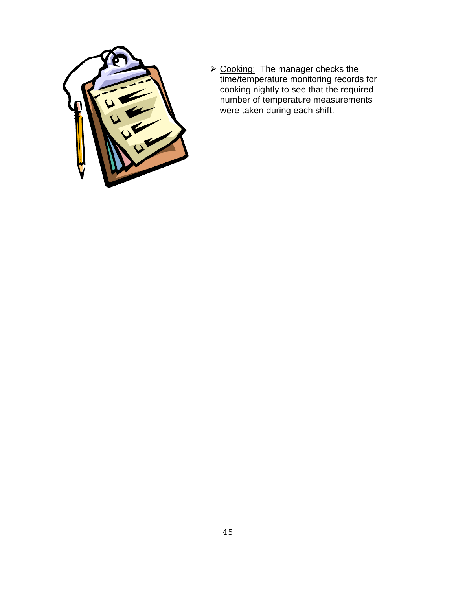

¾ Cooking: The manager checks the time/temperature monitoring records for cooking nightly to see that the required number of temperature measurements were taken during each shift.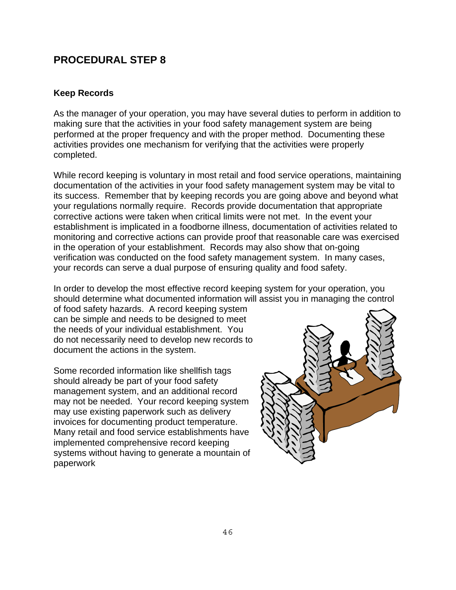#### **Keep Records**

As the manager of your operation, you may have several duties to perform in addition to making sure that the activities in your food safety management system are being performed at the proper frequency and with the proper method. Documenting these activities provides one mechanism for verifying that the activities were properly completed.

While record keeping is voluntary in most retail and food service operations, maintaining documentation of the activities in your food safety management system may be vital to its success. Remember that by keeping records you are going above and beyond what your regulations normally require. Records provide documentation that appropriate corrective actions were taken when critical limits were not met. In the event your establishment is implicated in a foodborne illness, documentation of activities related to monitoring and corrective actions can provide proof that reasonable care was exercised in the operation of your establishment. Records may also show that on-going verification was conducted on the food safety management system. In many cases, your records can serve a dual purpose of ensuring quality and food safety.

In order to develop the most effective record keeping system for your operation, you should determine what documented information will assist you in managing the control

of food safety hazards. A record keeping system can be simple and needs to be designed to meet the needs of your individual establishment. You do not necessarily need to develop new records to document the actions in the system.

Some recorded information like shellfish tags should already be part of your food safety management system, and an additional record may not be needed. Your record keeping system may use existing paperwork such as delivery invoices for documenting product temperature. Many retail and food service establishments have implemented comprehensive record keeping systems without having to generate a mountain of paperwork

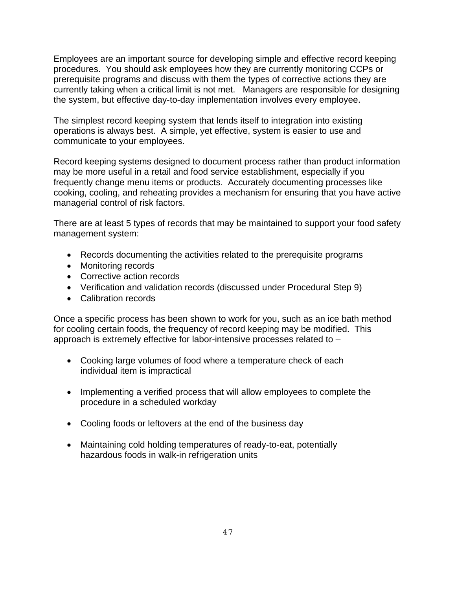Employees are an important source for developing simple and effective record keeping procedures. You should ask employees how they are currently monitoring CCPs or prerequisite programs and discuss with them the types of corrective actions they are currently taking when a critical limit is not met. Managers are responsible for designing the system, but effective day-to-day implementation involves every employee.

The simplest record keeping system that lends itself to integration into existing operations is always best. A simple, yet effective, system is easier to use and communicate to your employees.

Record keeping systems designed to document process rather than product information may be more useful in a retail and food service establishment, especially if you frequently change menu items or products. Accurately documenting processes like cooking, cooling, and reheating provides a mechanism for ensuring that you have active managerial control of risk factors.

There are at least 5 types of records that may be maintained to support your food safety management system:

- Records documenting the activities related to the prerequisite programs
- Monitoring records
- Corrective action records
- Verification and validation records (discussed under Procedural Step 9)
- Calibration records

Once a specific process has been shown to work for you, such as an ice bath method for cooling certain foods, the frequency of record keeping may be modified. This approach is extremely effective for labor-intensive processes related to –

- Cooking large volumes of food where a temperature check of each individual item is impractical
- Implementing a verified process that will allow employees to complete the procedure in a scheduled workday
- Cooling foods or leftovers at the end of the business day
- Maintaining cold holding temperatures of ready-to-eat, potentially hazardous foods in walk-in refrigeration units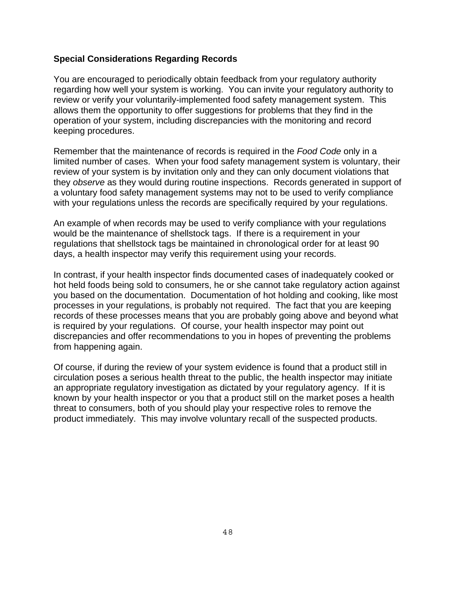#### **Special Considerations Regarding Records**

You are encouraged to periodically obtain feedback from your regulatory authority regarding how well your system is working. You can invite your regulatory authority to review or verify your voluntarily-implemented food safety management system. This allows them the opportunity to offer suggestions for problems that they find in the operation of your system, including discrepancies with the monitoring and record keeping procedures.

Remember that the maintenance of records is required in the *Food Code* only in a limited number of cases.When your food safety management system is voluntary, their review of your system is by invitation only and they can only document violations that they *observe* as they would during routine inspections. Records generated in support of a voluntary food safety management systems may not to be used to verify compliance with your regulations unless the records are specifically required by your regulations.

An example of when records may be used to verify compliance with your regulations would be the maintenance of shellstock tags. If there is a requirement in your regulations that shellstock tags be maintained in chronological order for at least 90 days, a health inspector may verify this requirement using your records.

In contrast, if your health inspector finds documented cases of inadequately cooked or hot held foods being sold to consumers, he or she cannot take regulatory action against you based on the documentation. Documentation of hot holding and cooking, like most processes in your regulations, is probably not required. The fact that you are keeping records of these processes means that you are probably going above and beyond what is required by your regulations. Of course, your health inspector may point out discrepancies and offer recommendations to you in hopes of preventing the problems from happening again.

Of course, if during the review of your system evidence is found that a product still in circulation poses a serious health threat to the public, the health inspector may initiate an appropriate regulatory investigation as dictated by your regulatory agency. If it is known by your health inspector or you that a product still on the market poses a health threat to consumers, both of you should play your respective roles to remove the product immediately. This may involve voluntary recall of the suspected products.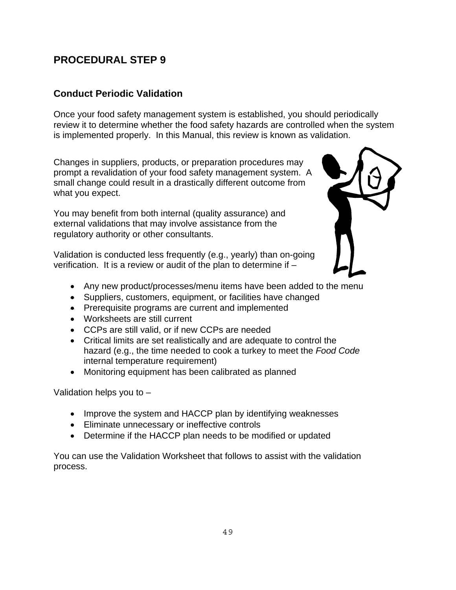### **Conduct Periodic Validation**

Once your food safety management system is established, you should periodically review it to determine whether the food safety hazards are controlled when the system is implemented properly. In this Manual, this review is known as validation.

Changes in suppliers, products, or preparation procedures may prompt a revalidation of your food safety management system. A small change could result in a drastically different outcome from what you expect.

You may benefit from both internal (quality assurance) and external validations that may involve assistance from the regulatory authority or other consultants.

Validation is conducted less frequently (e.g., yearly) than on-going verification. It is a review or audit of the plan to determine if –

- Any new product/processes/menu items have been added to the menu
- Suppliers, customers, equipment, or facilities have changed
- Prerequisite programs are current and implemented
- Worksheets are still current
- CCPs are still valid, or if new CCPs are needed
- Critical limits are set realistically and are adequate to control the hazard (e.g., the time needed to cook a turkey to meet the *Food Code* internal temperature requirement)
- Monitoring equipment has been calibrated as planned

Validation helps you to –

- Improve the system and HACCP plan by identifying weaknesses
- Eliminate unnecessary or ineffective controls
- Determine if the HACCP plan needs to be modified or updated

You can use the Validation Worksheet that follows to assist with the validation process.

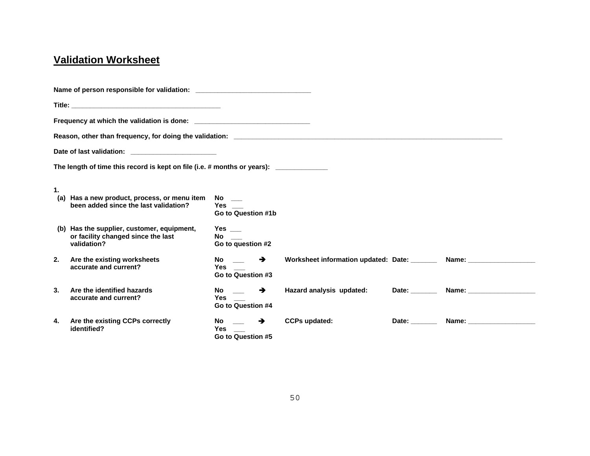### **Validation Worksheet**

|           | Date of last validation: _________________________                                              |                                                                                                                                                    |               |                                            |             |                   |  |
|-----------|-------------------------------------------------------------------------------------------------|----------------------------------------------------------------------------------------------------------------------------------------------------|---------------|--------------------------------------------|-------------|-------------------|--|
|           | The length of time this record is kept on file (i.e. # months or years): _____________          |                                                                                                                                                    |               |                                            |             |                   |  |
| 1.<br>(a) | Has a new product, process, or menu item<br>been added since the last validation?               | $No \ \_$<br>Yes<br>Go to Question #1b                                                                                                             |               |                                            |             |                   |  |
|           | (b) Has the supplier, customer, equipment,<br>or facility changed since the last<br>validation? | Yes $\_\_$<br>No the set of the set of the set of the set of the set of the set of the set of the set of the set of the set o<br>Go to question #2 |               |                                            |             |                   |  |
| 2.        | Are the existing worksheets<br>accurate and current?                                            | No $\rightarrow$<br>Yes<br>Go to Question #3                                                                                                       |               | Worksheet information updated: Date: Name: |             |                   |  |
| 3.        | Are the identified hazards<br>accurate and current?                                             | No $\rightarrow$<br>Yes<br>Go to Question #4                                                                                                       |               | Hazard analysis updated:                   |             | Date: Name: Name: |  |
| 4.        | Are the existing CCPs correctly<br>identified?                                                  | No $\qquad \qquad \qquad$<br>Yes<br>Go to Question #5                                                                                              | $\rightarrow$ | <b>CCPs updated:</b>                       | Date: Date: |                   |  |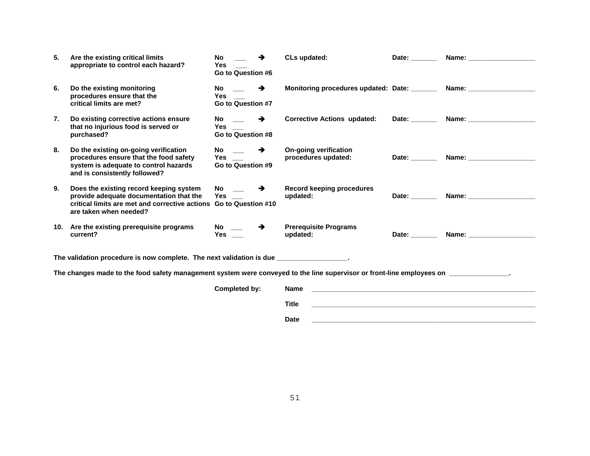| 5.                                                                                                                                     | Are the existing critical limits<br>appropriate to control each hazard?                                                                                                           | No<br>Yes<br>Go to Question #6                      | $\rightarrow$ | CLs updated:                                                        | Date: ______ |                   |
|----------------------------------------------------------------------------------------------------------------------------------------|-----------------------------------------------------------------------------------------------------------------------------------------------------------------------------------|-----------------------------------------------------|---------------|---------------------------------------------------------------------|--------------|-------------------|
| 6.                                                                                                                                     | Do the existing monitoring<br>procedures ensure that the<br>critical limits are met?                                                                                              | No $\rightarrow$<br>Yes $\_\_$<br>Go to Question #7 |               | Monitoring procedures updated: Date: Name: Name: Name:              |              |                   |
| 7.                                                                                                                                     | Do existing corrective actions ensure<br>that no injurious food is served or<br>purchased?                                                                                        | No $\rightarrow$<br>Yes<br>Go to Question #8        |               | <b>Corrective Actions updated:</b>                                  |              | Date: Name: Name: |
| 8.                                                                                                                                     | Do the existing on-going verification<br>procedures ensure that the food safety<br>system is adequate to control hazards<br>and is consistently followed?                         | No $\rightarrow$<br>Yes $\_\_$<br>Go to Question #9 |               | <b>On-going verification</b><br>procedures updated:                 |              | Date: Name: Name: |
| 9.                                                                                                                                     | Does the existing record keeping system<br>provide adequate documentation that the<br>critical limits are met and corrective actions Go to Question #10<br>are taken when needed? | No $\rightarrow$<br>Yes $\_\_$                      |               | <b>Record keeping procedures</b><br>updated:                        |              |                   |
|                                                                                                                                        | 10. Are the existing prerequisite programs<br>current?                                                                                                                            | No $\rightarrow$<br>Yes                             |               | <b>Prerequisite Programs</b><br>updated:                            |              | Date: Name: Name: |
| The validation procedure is now complete. The next validation is due __________________.                                               |                                                                                                                                                                                   |                                                     |               |                                                                     |              |                   |
| The changes made to the food safety management system were conveyed to the line supervisor or front-line employees on _______________. |                                                                                                                                                                                   |                                                     |               |                                                                     |              |                   |
|                                                                                                                                        |                                                                                                                                                                                   | Completed by:                                       |               | Name<br><u> 1999 - Johann Stoff, Amerikaansk politiker († 1908)</u> |              |                   |
|                                                                                                                                        |                                                                                                                                                                                   |                                                     |               | Title                                                               |              |                   |
|                                                                                                                                        |                                                                                                                                                                                   |                                                     |               | <b>Date</b>                                                         |              |                   |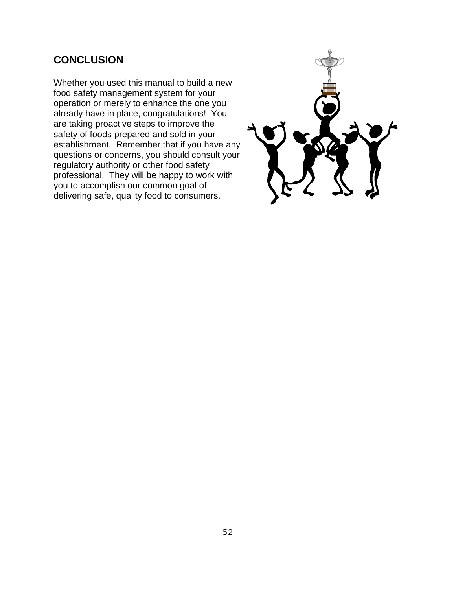### **CONCLUSION**

Whether you used this manual to build a new food safety management system for your operation or merely to enhance the one you already have in place, congratulations! You are taking proactive steps to improve the safety of foods prepared and sold in your establishment. Remember that if you have any questions or concerns, you should consult your regulatory authority or other food safety professional. They will be happy to work with you to accomplish our common goal of delivering safe, quality food to consumers.

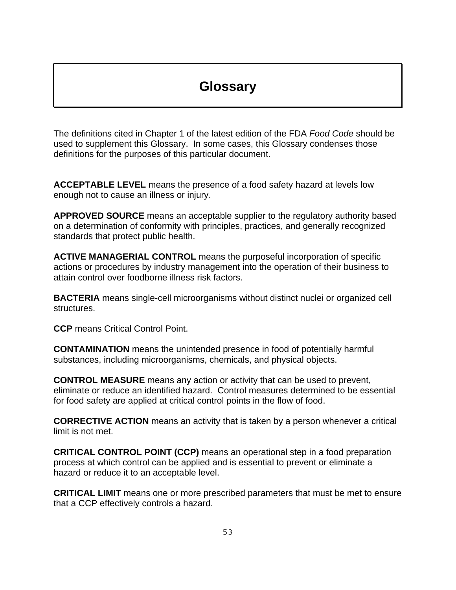# **Glossary**

The definitions cited in Chapter 1 of the latest edition of the FDA *Food Code* should be used to supplement this Glossary. In some cases, this Glossary condenses those definitions for the purposes of this particular document.

**ACCEPTABLE LEVEL** means the presence of a food safety hazard at levels low enough not to cause an illness or injury.

**APPROVED SOURCE** means an acceptable supplier to the regulatory authority based on a determination of conformity with principles, practices, and generally recognized standards that protect public health.

**ACTIVE MANAGERIAL CONTROL** means the purposeful incorporation of specific actions or procedures by industry management into the operation of their business to attain control over foodborne illness risk factors.

**BACTERIA** means single-cell microorganisms without distinct nuclei or organized cell structures.

**CCP** means Critical Control Point.

**CONTAMINATION** means the unintended presence in food of potentially harmful substances, including microorganisms, chemicals, and physical objects.

**CONTROL MEASURE** means any action or activity that can be used to prevent, eliminate or reduce an identified hazard. Control measures determined to be essential for food safety are applied at critical control points in the flow of food.

**CORRECTIVE ACTION** means an activity that is taken by a person whenever a critical limit is not met.

**CRITICAL CONTROL POINT (CCP)** means an operational step in a food preparation process at which control can be applied and is essential to prevent or eliminate a hazard or reduce it to an acceptable level.

**CRITICAL LIMIT** means one or more prescribed parameters that must be met to ensure that a CCP effectively controls a hazard.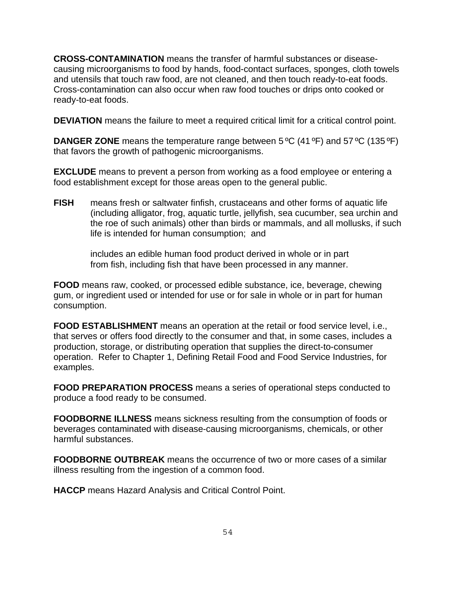**CROSS-CONTAMINATION** means the transfer of harmful substances or diseasecausing microorganisms to food by hands, food-contact surfaces, sponges, cloth towels and utensils that touch raw food, are not cleaned, and then touch ready-to-eat foods. Cross-contamination can also occur when raw food touches or drips onto cooked or ready-to-eat foods.

**DEVIATION** means the failure to meet a required critical limit for a critical control point.

**DANGER ZONE** means the temperature range between 5 ºC (41 ºF) and 57 ºC (135 ºF) that favors the growth of pathogenic microorganisms.

**EXCLUDE** means to prevent a person from working as a food employee or entering a food establishment except for those areas open to the general public.

**FISH** means fresh or saltwater finfish, crustaceans and other forms of aquatic life (including alligator, frog, aquatic turtle, jellyfish, sea cucumber, sea urchin and the roe of such animals) other than birds or mammals, and all mollusks, if such life is intended for human consumption; and

> includes an edible human food product derived in whole or in part from fish, including fish that have been processed in any manner.

**FOOD** means raw, cooked, or processed edible substance, ice, beverage, chewing gum, or ingredient used or intended for use or for sale in whole or in part for human consumption.

**FOOD ESTABLISHMENT** means an operation at the retail or food service level, i.e., that serves or offers food directly to the consumer and that, in some cases, includes a production, storage, or distributing operation that supplies the direct-to-consumer operation. Refer to Chapter 1, Defining Retail Food and Food Service Industries, for examples.

**FOOD PREPARATION PROCESS** means a series of operational steps conducted to produce a food ready to be consumed.

**FOODBORNE ILLNESS** means sickness resulting from the consumption of foods or beverages contaminated with disease-causing microorganisms, chemicals, or other harmful substances.

**FOODBORNE OUTBREAK** means the occurrence of two or more cases of a similar illness resulting from the ingestion of a common food.

**HACCP** means Hazard Analysis and Critical Control Point.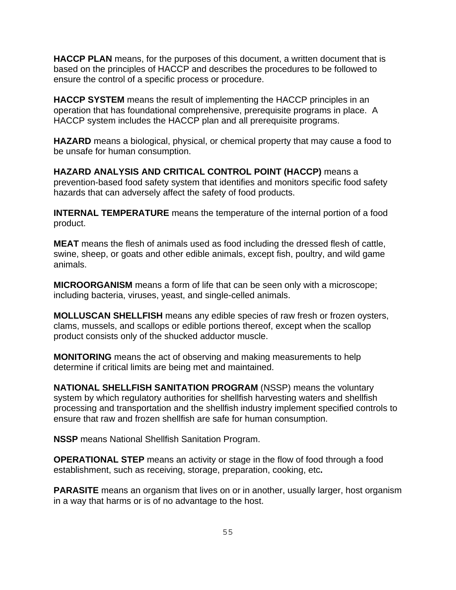**HACCP PLAN** means, for the purposes of this document, a written document that is based on the principles of HACCP and describes the procedures to be followed to ensure the control of a specific process or procedure.

**HACCP SYSTEM** means the result of implementing the HACCP principles in an operation that has foundational comprehensive, prerequisite programs in place. A HACCP system includes the HACCP plan and all prerequisite programs.

**HAZARD** means a biological, physical, or chemical property that may cause a food to be unsafe for human consumption.

**HAZARD ANALYSIS AND CRITICAL CONTROL POINT (HACCP)** means a prevention-based food safety system that identifies and monitors specific food safety hazards that can adversely affect the safety of food products.

**INTERNAL TEMPERATURE** means the temperature of the internal portion of a food product.

**MEAT** means the flesh of animals used as food including the dressed flesh of cattle, swine, sheep, or goats and other edible animals, except fish, poultry, and wild game animals.

**MICROORGANISM** means a form of life that can be seen only with a microscope; including bacteria, viruses, yeast, and single-celled animals.

**MOLLUSCAN SHELLFISH** means any edible species of raw fresh or frozen oysters, clams, mussels, and scallops or edible portions thereof, except when the scallop product consists only of the shucked adductor muscle.

**MONITORING** means the act of observing and making measurements to help determine if critical limits are being met and maintained.

**NATIONAL SHELLFISH SANITATION PROGRAM** (NSSP) means the voluntary system by which regulatory authorities for shellfish harvesting waters and shellfish processing and transportation and the shellfish industry implement specified controls to ensure that raw and frozen shellfish are safe for human consumption.

**NSSP** means National Shellfish Sanitation Program.

**OPERATIONAL STEP** means an activity or stage in the flow of food through a food establishment, such as receiving, storage, preparation, cooking, etc**.** 

**PARASITE** means an organism that lives on or in another, usually larger, host organism in a way that harms or is of no advantage to the host.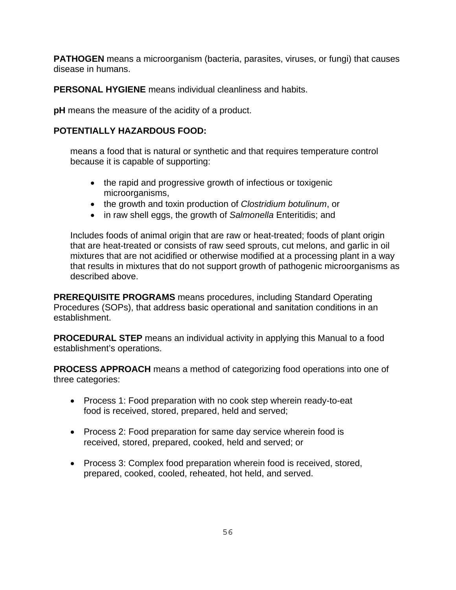**PATHOGEN** means a microorganism (bacteria, parasites, viruses, or fungi) that causes disease in humans.

**PERSONAL HYGIENE** means individual cleanliness and habits.

**pH** means the measure of the acidity of a product.

#### **POTENTIALLY HAZARDOUS FOOD:**

means a food that is natural or synthetic and that requires temperature control because it is capable of supporting:

- the rapid and progressive growth of infectious or toxigenic microorganisms,
- the growth and toxin production of *Clostridium botulinum*, or
- in raw shell eggs, the growth of *Salmonella* Enteritidis; and

Includes foods of animal origin that are raw or heat-treated; foods of plant origin that are heat-treated or consists of raw seed sprouts, cut melons, and garlic in oil mixtures that are not acidified or otherwise modified at a processing plant in a way that results in mixtures that do not support growth of pathogenic microorganisms as described above.

**PREREQUISITE PROGRAMS** means procedures, including Standard Operating Procedures (SOPs), that address basic operational and sanitation conditions in an establishment.

**PROCEDURAL STEP** means an individual activity in applying this Manual to a food establishment's operations.

**PROCESS APPROACH** means a method of categorizing food operations into one of three categories:

- Process 1: Food preparation with no cook step wherein ready-to-eat food is received, stored, prepared, held and served;
- Process 2: Food preparation for same day service wherein food is received, stored, prepared, cooked, held and served; or
- Process 3: Complex food preparation wherein food is received, stored, prepared, cooked, cooled, reheated, hot held, and served.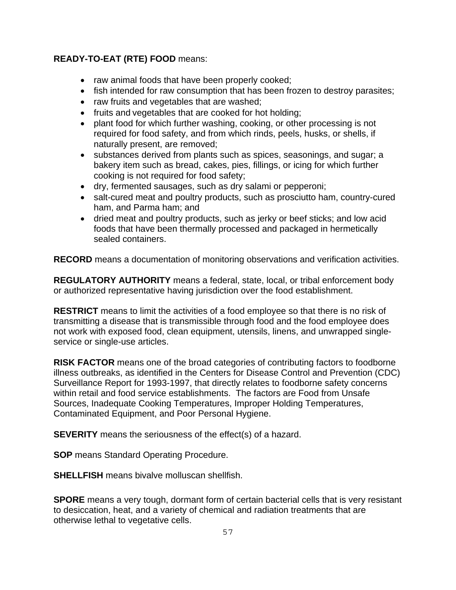#### **READY-TO-EAT (RTE) FOOD** means:

- raw animal foods that have been properly cooked;
- fish intended for raw consumption that has been frozen to destroy parasites;
- raw fruits and vegetables that are washed;
- fruits and vegetables that are cooked for hot holding;
- plant food for which further washing, cooking, or other processing is not required for food safety, and from which rinds, peels, husks, or shells, if naturally present, are removed;
- substances derived from plants such as spices, seasonings, and sugar; a bakery item such as bread, cakes, pies, fillings, or icing for which further cooking is not required for food safety;
- dry, fermented sausages, such as dry salami or pepperoni;
- salt-cured meat and poultry products, such as prosciutto ham, country-cured ham, and Parma ham; and
- dried meat and poultry products, such as jerky or beef sticks; and low acid foods that have been thermally processed and packaged in hermetically sealed containers.

**RECORD** means a documentation of monitoring observations and verification activities.

**REGULATORY AUTHORITY** means a federal, state, local, or tribal enforcement body or authorized representative having jurisdiction over the food establishment.

**RESTRICT** means to limit the activities of a food employee so that there is no risk of transmitting a disease that is transmissible through food and the food employee does not work with exposed food, clean equipment, utensils, linens, and unwrapped singleservice or single-use articles.

**RISK FACTOR** means one of the broad categories of contributing factors to foodborne illness outbreaks, as identified in the Centers for Disease Control and Prevention (CDC) Surveillance Report for 1993-1997, that directly relates to foodborne safety concerns within retail and food service establishments. The factors are Food from Unsafe Sources, Inadequate Cooking Temperatures, Improper Holding Temperatures, Contaminated Equipment, and Poor Personal Hygiene.

**SEVERITY** means the seriousness of the effect(s) of a hazard.

**SOP** means Standard Operating Procedure.

**SHELLFISH** means bivalve molluscan shellfish.

**SPORE** means a very tough, dormant form of certain bacterial cells that is very resistant to desiccation, heat, and a variety of chemical and radiation treatments that are otherwise lethal to vegetative cells.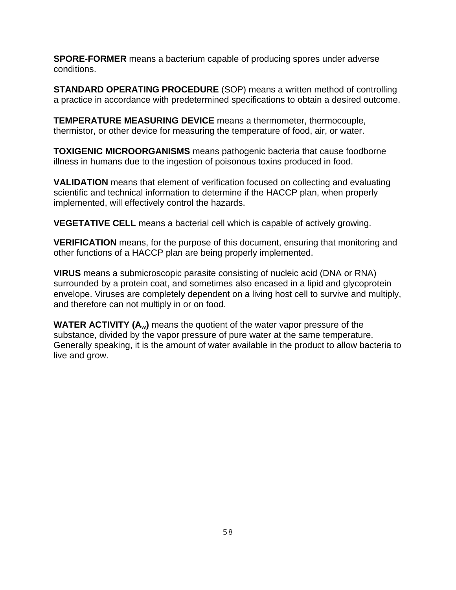**SPORE-FORMER** means a bacterium capable of producing spores under adverse conditions.

**STANDARD OPERATING PROCEDURE** (SOP) means a written method of controlling a practice in accordance with predetermined specifications to obtain a desired outcome.

**TEMPERATURE MEASURING DEVICE** means a thermometer, thermocouple, thermistor, or other device for measuring the temperature of food, air, or water.

**TOXIGENIC MICROORGANISMS** means pathogenic bacteria that cause foodborne illness in humans due to the ingestion of poisonous toxins produced in food.

**VALIDATION** means that element of verification focused on collecting and evaluating scientific and technical information to determine if the HACCP plan, when properly implemented, will effectively control the hazards.

**VEGETATIVE CELL** means a bacterial cell which is capable of actively growing.

**VERIFICATION** means, for the purpose of this document, ensuring that monitoring and other functions of a HACCP plan are being properly implemented.

**VIRUS** means a submicroscopic parasite consisting of nucleic acid (DNA or RNA) surrounded by a protein coat, and sometimes also encased in a lipid and glycoprotein envelope. Viruses are completely dependent on a living host cell to survive and multiply, and therefore can not multiply in or on food.

**WATER ACTIVITY (Aw)** means the quotient of the water vapor pressure of the substance, divided by the vapor pressure of pure water at the same temperature. Generally speaking, it is the amount of water available in the product to allow bacteria to live and grow.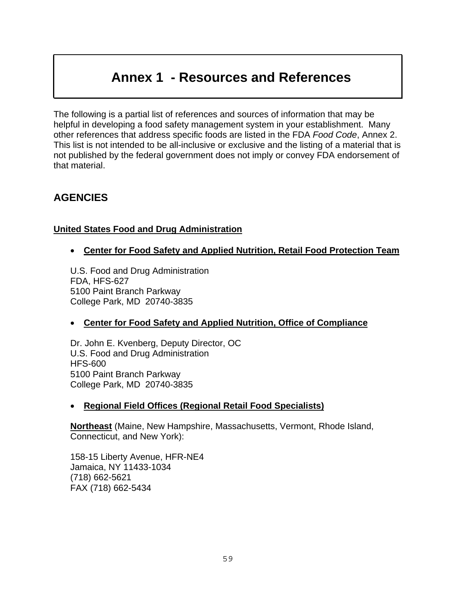# **Annex 1 - Resources and References**

The following is a partial list of references and sources of information that may be helpful in developing a food safety management system in your establishment. Many other references that address specific foods are listed in the FDA *Food Code*, Annex 2. This list is not intended to be all-inclusive or exclusive and the listing of a material that is not published by the federal government does not imply or convey FDA endorsement of that material.

## **AGENCIES**

#### **United States Food and Drug Administration**

#### • **Center for Food Safety and Applied Nutrition, Retail Food Protection Team**

U.S. Food and Drug Administration FDA, HFS-627 5100 Paint Branch Parkway College Park, MD 20740-3835

#### • **Center for Food Safety and Applied Nutrition, Office of Compliance**

 Dr. John E. Kvenberg, Deputy Director, OC U.S. Food and Drug Administration HFS-600 5100 Paint Branch Parkway College Park, MD 20740-3835

#### • **Regional Field Offices (Regional Retail Food Specialists)**

**Northeast** (Maine, New Hampshire, Massachusetts, Vermont, Rhode Island, Connecticut, and New York):

158-15 Liberty Avenue, HFR-NE4 Jamaica, NY 11433-1034 (718) 662-5621 FAX (718) 662-5434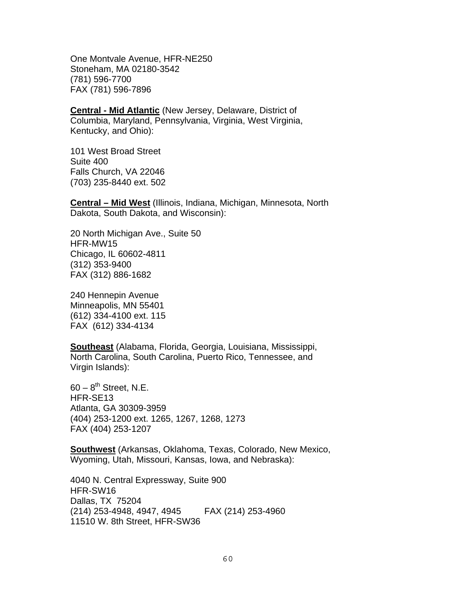One Montvale Avenue, HFR-NE250 Stoneham, MA 02180-3542 (781) 596-7700 FAX (781) 596-7896

**Central - Mid Atlantic** (New Jersey, Delaware, District of Columbia, Maryland, Pennsylvania, Virginia, West Virginia, Kentucky, and Ohio):

101 West Broad Street Suite 400 Falls Church, VA 22046 (703) 235-8440 ext. 502

**Central – Mid West** (Illinois, Indiana, Michigan, Minnesota, North Dakota, South Dakota, and Wisconsin):

 20 North Michigan Ave., Suite 50 HFR-MW15 Chicago, IL 60602-4811 (312) 353-9400 FAX (312) 886-1682

240 Hennepin Avenue Minneapolis, MN 55401 (612) 334-4100 ext. 115 FAX (612) 334-4134

**Southeast** (Alabama, Florida, Georgia, Louisiana, Mississippi, North Carolina, South Carolina, Puerto Rico, Tennessee, and Virgin Islands):

 $60 - 8$ <sup>th</sup> Street, N.E. HFR-SE13 Atlanta, GA 30309-3959 (404) 253-1200 ext. 1265, 1267, 1268, 1273 FAX (404) 253-1207

**Southwest** (Arkansas, Oklahoma, Texas, Colorado, New Mexico, Wyoming, Utah, Missouri, Kansas, Iowa, and Nebraska):

 4040 N. Central Expressway, Suite 900 HFR-SW16 Dallas, TX 75204 (214) 253-4948, 4947, 4945 FAX (214) 253-4960 11510 W. 8th Street, HFR-SW36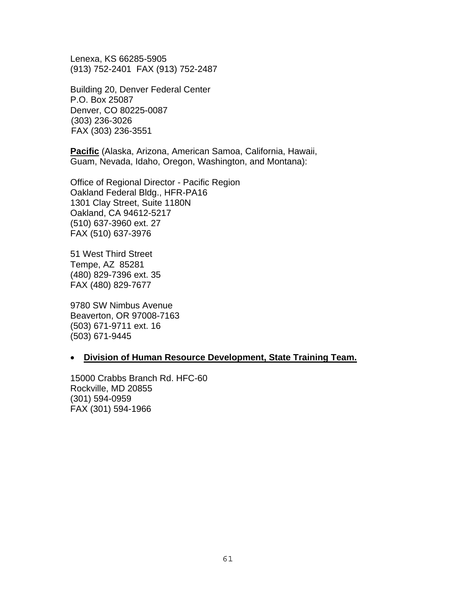Lenexa, KS 66285-5905 (913) 752-2401 FAX (913) 752-2487

 Building 20, Denver Federal Center P.O. Box 25087 Denver, CO 80225-0087 (303) 236-3026 FAX (303) 236-3551

**Pacific** (Alaska, Arizona, American Samoa, California, Hawaii, Guam, Nevada, Idaho, Oregon, Washington, and Montana):

 Office of Regional Director - Pacific Region Oakland Federal Bldg., HFR-PA16 1301 Clay Street, Suite 1180N Oakland, CA 94612-5217 (510) 637-3960 ext. 27 FAX (510) 637-3976

 51 West Third Street Tempe, AZ 85281 (480) 829-7396 ext. 35 FAX (480) 829-7677

 9780 SW Nimbus Avenue Beaverton, OR 97008-7163 (503) 671-9711 ext. 16 (503) 671-9445

#### • **Division of Human Resource Development, State Training Team.**

 15000 Crabbs Branch Rd. HFC-60 Rockville, MD 20855 (301) 594-0959 FAX (301) 594-1966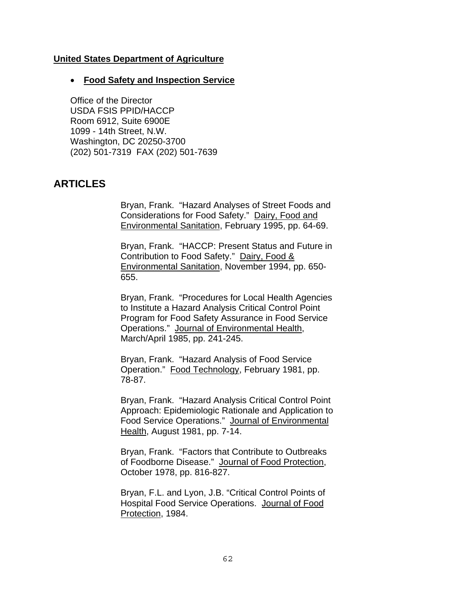#### **United States Department of Agriculture**

#### • **Food Safety and Inspection Service**

 Office of the Director USDA FSIS PPID/HACCP Room 6912, Suite 6900E 1099 - 14th Street, N.W. Washington, DC 20250-3700 (202) 501-7319 FAX (202) 501-7639

### **ARTICLES**

Bryan, Frank. "Hazard Analyses of Street Foods and Considerations for Food Safety." Dairy, Food and Environmental Sanitation, February 1995, pp. 64-69.

Bryan, Frank. "HACCP: Present Status and Future in Contribution to Food Safety." Dairy, Food & Environmental Sanitation, November 1994, pp. 650- 655.

Bryan, Frank. "Procedures for Local Health Agencies to Institute a Hazard Analysis Critical Control Point Program for Food Safety Assurance in Food Service Operations." Journal of Environmental Health, March/April 1985, pp. 241-245.

Bryan, Frank. "Hazard Analysis of Food Service Operation." Food Technology, February 1981, pp. 78-87.

Bryan, Frank. "Hazard Analysis Critical Control Point Approach: Epidemiologic Rationale and Application to Food Service Operations." Journal of Environmental Health, August 1981, pp. 7-14.

Bryan, Frank. "Factors that Contribute to Outbreaks of Foodborne Disease." Journal of Food Protection, October 1978, pp. 816-827.

Bryan, F.L. and Lyon, J.B. "Critical Control Points of Hospital Food Service Operations. Journal of Food Protection, 1984.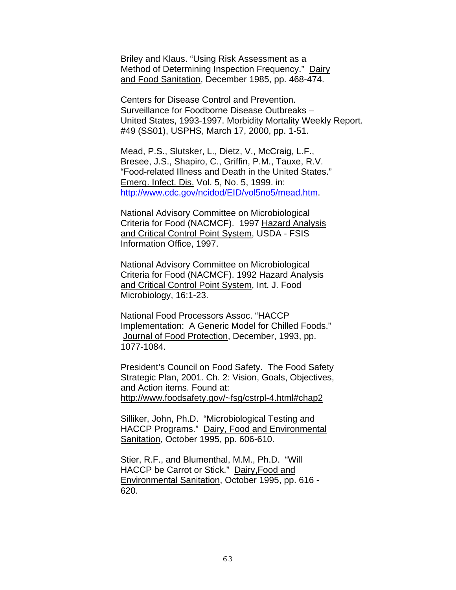Briley and Klaus. "Using Risk Assessment as a Method of Determining Inspection Frequency." Dairy and Food Sanitation, December 1985, pp. 468-474.

Centers for Disease Control and Prevention. Surveillance for Foodborne Disease Outbreaks – United States, 1993-1997. Morbidity Mortality Weekly Report. #49 (SS01), USPHS, March 17, 2000, pp. 1-51.

Mead, P.S., Slutsker, L., Dietz, V., McCraig, L.F., Bresee, J.S., Shapiro, C., Griffin, P.M., Tauxe, R.V. "Food-related Illness and Death in the United States." Emerg. Infect. Dis. Vol. 5, No. 5, 1999. in: http://www.cdc.gov/ncidod/EID/vol5no5/mead.htm.

National Advisory Committee on Microbiological Criteria for Food (NACMCF). 1997 Hazard Analysis and Critical Control Point System, USDA - FSIS Information Office, 1997.

National Advisory Committee on Microbiological Criteria for Food (NACMCF). 1992 Hazard Analysis and Critical Control Point System, Int. J. Food Microbiology, 16:1-23.

National Food Processors Assoc. "HACCP Implementation: A Generic Model for Chilled Foods." Journal of Food Protection, December, 1993, pp. 1077-1084.

President's Council on Food Safety. The Food Safety Strategic Plan, 2001. Ch. 2: Vision, Goals, Objectives, and Action items. Found at: http://www.foodsafety.gov/~fsg/cstrpl-4.html#chap2

Silliker, John, Ph.D. "Microbiological Testing and HACCP Programs." Dairy, Food and Environmental Sanitation, October 1995, pp. 606-610.

Stier, R.F., and Blumenthal, M.M., Ph.D. "Will HACCP be Carrot or Stick." Dairy,Food and Environmental Sanitation, October 1995, pp. 616 - 620.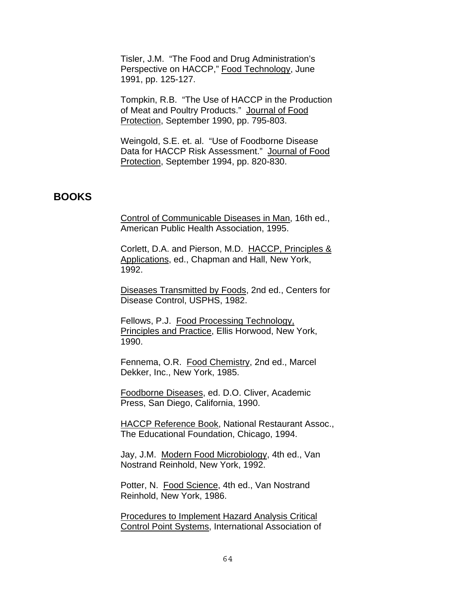Tisler, J.M. "The Food and Drug Administration's Perspective on HACCP," Food Technology, June 1991, pp. 125-127.

Tompkin, R.B. "The Use of HACCP in the Production of Meat and Poultry Products." Journal of Food Protection, September 1990, pp. 795-803.

Weingold, S.E. et. al. "Use of Foodborne Disease Data for HACCP Risk Assessment." Journal of Food Protection, September 1994, pp. 820-830.

#### **BOOKS**

Control of Communicable Diseases in Man, 16th ed., American Public Health Association, 1995.

Corlett, D.A. and Pierson, M.D. HACCP, Principles & Applications, ed., Chapman and Hall, New York, 1992.

Diseases Transmitted by Foods, 2nd ed., Centers for Disease Control, USPHS, 1982.

Fellows, P.J. Food Processing Technology, Principles and Practice, Ellis Horwood, New York, 1990.

Fennema, O.R. Food Chemistry, 2nd ed., Marcel Dekker, Inc., New York, 1985.

Foodborne Diseases, ed. D.O. Cliver, Academic Press, San Diego, California, 1990.

HACCP Reference Book, National Restaurant Assoc., The Educational Foundation, Chicago, 1994.

Jay, J.M. Modern Food Microbiology, 4th ed., Van Nostrand Reinhold, New York, 1992.

Potter, N. Food Science, 4th ed., Van Nostrand Reinhold, New York, 1986.

Procedures to Implement Hazard Analysis Critical Control Point Systems, International Association of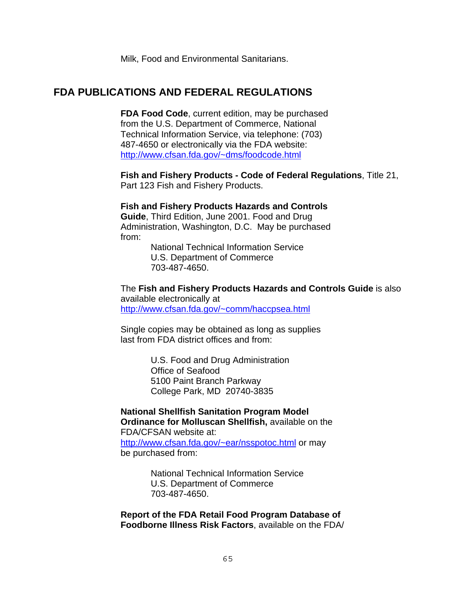Milk, Food and Environmental Sanitarians.

### **FDA PUBLICATIONS AND FEDERAL REGULATIONS**

**FDA Food Code**, current edition, may be purchased from the U.S. Department of Commerce, National Technical Information Service, via telephone: (703) 487-4650 or electronically via the FDA website: http://www.cfsan.fda.gov/~dms/foodcode.html

**Fish and Fishery Products - Code of Federal Regulations**, Title 21, Part 123 Fish and Fishery Products.

#### **Fish and Fishery Products Hazards and Controls**

**Guide**, Third Edition, June 2001. Food and Drug Administration, Washington, D.C. May be purchased from:

> National Technical Information Service U.S. Department of Commerce 703-487-4650.

The **Fish and Fishery Products Hazards and Controls Guide** is also available electronically at http://www.cfsan.fda.gov/~comm/haccpsea.html

Single copies may be obtained as long as supplies last from FDA district offices and from:

> U.S. Food and Drug Administration Office of Seafood 5100 Paint Branch Parkway College Park, MD 20740-3835

**National Shellfish Sanitation Program Model Ordinance for Molluscan Shellfish,** available on the FDA/CFSAN website at:

http://www.cfsan.fda.gov/~ear/nsspotoc.html or may be purchased from:

> National Technical Information Service U.S. Department of Commerce 703-487-4650.

#### **Report of the FDA Retail Food Program Database of Foodborne Illness Risk Factors**, available on the FDA/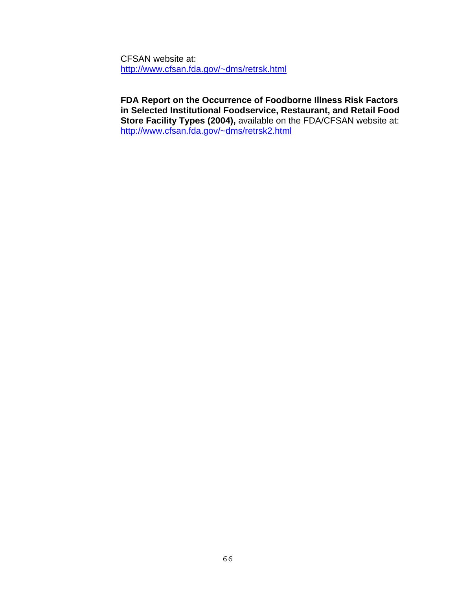CFSAN website at: http://www.cfsan.fda.gov/~dms/retrsk.html

**FDA Report on the Occurrence of Foodborne Illness Risk Factors in Selected Institutional Foodservice, Restaurant, and Retail Food Store Facility Types (2004),** available on the FDA/CFSAN website at: http://www.cfsan.fda.gov/~dms/retrsk2.html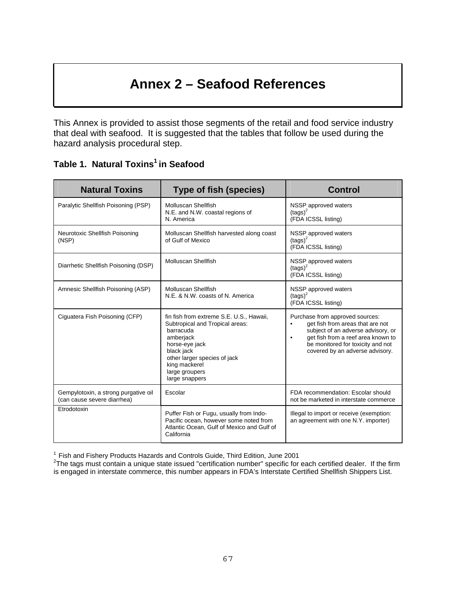# **Annex 2 – Seafood References**

This Annex is provided to assist those segments of the retail and food service industry that deal with seafood. It is suggested that the tables that follow be used during the hazard analysis procedural step.

| <b>Natural Toxins</b>                                               | <b>Type of fish (species)</b>                                                                                                                                                                                              | <b>Control</b>                                                                                                                                                                                                                       |
|---------------------------------------------------------------------|----------------------------------------------------------------------------------------------------------------------------------------------------------------------------------------------------------------------------|--------------------------------------------------------------------------------------------------------------------------------------------------------------------------------------------------------------------------------------|
| Paralytic Shellfish Poisoning (PSP)                                 | <b>Molluscan Shellfish</b><br>N.E. and N.W. coastal regions of<br>N. America                                                                                                                                               | NSSP approved waters<br>$(tags)^2$<br>(FDA ICSSL listing)                                                                                                                                                                            |
| Neurotoxic Shellfish Poisoning<br>(NSP)                             | Molluscan Shellfish harvested along coast<br>of Gulf of Mexico                                                                                                                                                             | NSSP approved waters<br>$(tags)^2$<br>(FDA ICSSL listing)                                                                                                                                                                            |
| Diarrhetic Shellfish Poisoning (DSP)                                | Molluscan Shellfish                                                                                                                                                                                                        | NSSP approved waters<br>$(tags)^2$<br>(FDA ICSSL listing)                                                                                                                                                                            |
| Amnesic Shellfish Poisoning (ASP)                                   | Molluscan Shellfish<br>N.E. & N.W. coasts of N. America                                                                                                                                                                    | NSSP approved waters<br>$(tags)^2$<br>(FDA ICSSL listing)                                                                                                                                                                            |
| Ciguatera Fish Poisoning (CFP)                                      | fin fish from extreme S.E. U.S., Hawaii,<br>Subtropical and Tropical areas:<br>barracuda<br>amberjack<br>horse-eye jack<br>black jack<br>other larger species of jack<br>king mackerel<br>large groupers<br>large snappers | Purchase from approved sources:<br>get fish from areas that are not<br>subject of an adverse advisory, or<br>get fish from a reef area known to<br>$\bullet$<br>be monitored for toxicity and not<br>covered by an adverse advisory. |
| Gempylotoxin, a strong purgative oil<br>(can cause severe diarrhea) | Escolar                                                                                                                                                                                                                    | FDA recommendation: Escolar should<br>not be marketed in interstate commerce                                                                                                                                                         |
| Etrodotoxin                                                         | Puffer Fish or Fugu, usually from Indo-<br>Pacific ocean, however some noted from<br>Atlantic Ocean, Gulf of Mexico and Gulf of<br>California                                                                              | Illegal to import or receive (exemption:<br>an agreement with one N.Y. importer)                                                                                                                                                     |

### **Table 1. Natural Toxins<sup>1</sup> in Seafood**

<sup>1</sup> Fish and Fishery Products Hazards and Controls Guide, Third Edition, June 2001<br><sup>2</sup>The tags must contain a unique state issued "certification number" specific for each certified dealer. If the firm is engaged in interstate commerce, this number appears in FDA's Interstate Certified Shellfish Shippers List.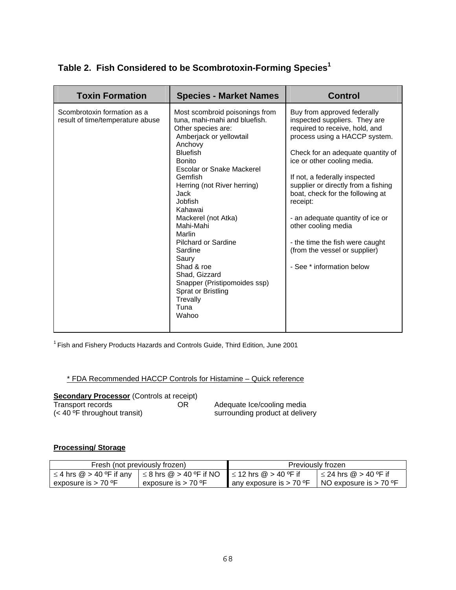| Table 2. Fish Considered to be Scombrotoxin-Forming Species <sup>1</sup> |  |
|--------------------------------------------------------------------------|--|
|--------------------------------------------------------------------------|--|

| <b>Toxin Formation</b>                                          | <b>Species - Market Names</b>                                                                                                                                                                                                                                                                                                                                                                                                                                                                        | <b>Control</b>                                                                                                                                                                                                                                                                                                                                                                                                                                                                          |
|-----------------------------------------------------------------|------------------------------------------------------------------------------------------------------------------------------------------------------------------------------------------------------------------------------------------------------------------------------------------------------------------------------------------------------------------------------------------------------------------------------------------------------------------------------------------------------|-----------------------------------------------------------------------------------------------------------------------------------------------------------------------------------------------------------------------------------------------------------------------------------------------------------------------------------------------------------------------------------------------------------------------------------------------------------------------------------------|
| Scombrotoxin formation as a<br>result of time/temperature abuse | Most scombroid poisonings from<br>tuna, mahi-mahi and bluefish.<br>Other species are:<br>Amberjack or yellowtail<br>Anchovy<br><b>Bluefish</b><br><b>Bonito</b><br><b>Escolar or Snake Mackerel</b><br>Gemfish<br>Herring (not River herring)<br>Jack<br>Jobfish<br>Kahawai<br>Mackerel (not Atka)<br>Mahi-Mahi<br>Marlin<br><b>Pilchard or Sardine</b><br>Sardine<br>Saury<br>Shad & roe<br>Shad, Gizzard<br>Snapper (Pristipomoides ssp)<br><b>Sprat or Bristling</b><br>Trevally<br>Tuna<br>Wahoo | Buy from approved federally<br>inspected suppliers. They are<br>required to receive, hold, and<br>process using a HACCP system.<br>Check for an adequate quantity of<br>ice or other cooling media.<br>If not, a federally inspected<br>supplier or directly from a fishing<br>boat, check for the following at<br>receipt:<br>- an adequate quantity of ice or<br>other cooling media<br>- the time the fish were caught<br>(from the vessel or supplier)<br>- See * information below |

1 Fish and Fishery Products Hazards and Controls Guide, Third Edition, June 2001

#### \* FDA Recommended HACCP Controls for Histamine – Quick reference

| <b>Secondary Processor</b> (Controls at receipt) |  |
|--------------------------------------------------|--|
|                                                  |  |

| Transport records              | OR | Adequate Ice/cooling media      |
|--------------------------------|----|---------------------------------|
| $(< 40 °F$ throughout transit) |    | surrounding product at delivery |

#### **Processing/ Storage**

|                                                                                     | Fresh (not previously frozen)   | Previously frozen                           |                                      |  |
|-------------------------------------------------------------------------------------|---------------------------------|---------------------------------------------|--------------------------------------|--|
| $\leq$ 4 hrs $\circledR$ > 40 °F if any $\mid \leq$ 8 hrs $\circledR$ > 40 °F if NO |                                 | $\blacksquare$ $\leq$ 12 hrs @ $>$ 40 °F if | $\vert$ $\leq$ 24 hrs @ $>$ 40 °F if |  |
| exposure is $> 70$ °F                                                               | exposure is > 70 $\mathrm{^oF}$ | any exposure is $> 70$ °F                   | NO exposure is $>$ 70 °F             |  |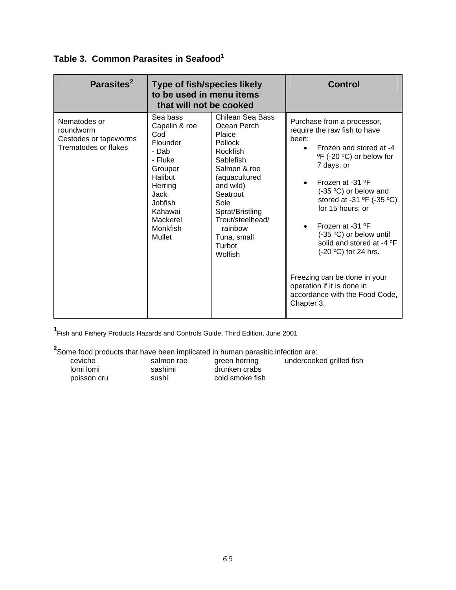| Parasites <sup>2</sup>                                                     | <b>Type of fish/species likely</b><br>to be used in menu items<br>that will not be cooked                                                                         |                                                                                                                                                                                                                                                            | <b>Control</b>                                                                                                                                                                                                                                                                                                                                                                                                                                                                                                             |
|----------------------------------------------------------------------------|-------------------------------------------------------------------------------------------------------------------------------------------------------------------|------------------------------------------------------------------------------------------------------------------------------------------------------------------------------------------------------------------------------------------------------------|----------------------------------------------------------------------------------------------------------------------------------------------------------------------------------------------------------------------------------------------------------------------------------------------------------------------------------------------------------------------------------------------------------------------------------------------------------------------------------------------------------------------------|
| Nematodes or<br>roundworm<br>Cestodes or tapeworms<br>Trematodes or flukes | Sea bass<br>Capelin & roe<br>Cod<br>Flounder<br>- Dab<br>- Fluke<br>Grouper<br>Halibut<br>Herring<br>Jack<br>Jobfish<br>Kahawai<br>Mackerel<br>Monkfish<br>Mullet | <b>Chilean Sea Bass</b><br>Ocean Perch<br>Plaice<br><b>Pollock</b><br><b>Rockfish</b><br>Sablefish<br>Salmon & roe<br>(aquacultured<br>and wild)<br>Seatrout<br>Sole<br>Sprat/Bristling<br>Trout/steelhead/<br>rainbow<br>Tuna, small<br>Turbot<br>Wolfish | Purchase from a processor,<br>require the raw fish to have<br>been:<br>Frozen and stored at -4<br>$\bullet$<br><sup>o</sup> F (-20 °C) or below for<br>7 days; or<br>Frozen at -31 °F<br>(-35 °C) or below and<br>stored at -31 $\textdegree$ F (-35 $\textdegree$ C)<br>for 15 hours; or<br>Frozen at -31 °F<br>$\bullet$<br>(-35 °C) or below until<br>solid and stored at -4 °F<br>$(-20 °C)$ for 24 hrs.<br>Freezing can be done in your<br>operation if it is done in<br>accordance with the Food Code,<br>Chapter 3. |

#### **Table 3. Common Parasites in Seafood<sup>1</sup>**

**1** Fish and Fishery Products Hazards and Controls Guide, Third Edition, June 2001

**2** Some food products that have been implicated in human parasitic infection are:

- 
- 

lomi lomi sashimi drunken crabs<br>
poisson cru sushi cold smoke fish cold smoke fish

ceviche salmon roe green herring undercooked grilled fish<br>
lomi lomi sashimi drunken crabs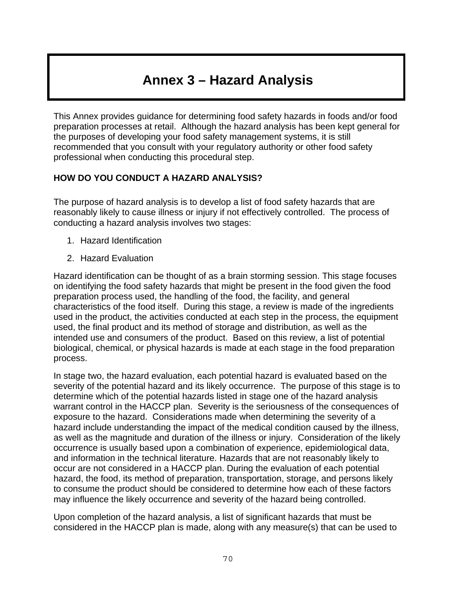# **Annex 3 – Hazard Analysis**

This Annex provides guidance for determining food safety hazards in foods and/or food preparation processes at retail. Although the hazard analysis has been kept general for the purposes of developing your food safety management systems, it is still recommended that you consult with your regulatory authority or other food safety professional when conducting this procedural step.

#### **HOW DO YOU CONDUCT A HAZARD ANALYSIS?**

The purpose of hazard analysis is to develop a list of food safety hazards that are reasonably likely to cause illness or injury if not effectively controlled. The process of conducting a hazard analysis involves two stages:

- 1. Hazard Identification
- 2. Hazard Evaluation

Hazard identification can be thought of as a brain storming session. This stage focuses on identifying the food safety hazards that might be present in the food given the food preparation process used, the handling of the food, the facility, and general characteristics of the food itself. During this stage, a review is made of the ingredients used in the product, the activities conducted at each step in the process, the equipment used, the final product and its method of storage and distribution, as well as the intended use and consumers of the product. Based on this review, a list of potential biological, chemical, or physical hazards is made at each stage in the food preparation process.

In stage two, the hazard evaluation, each potential hazard is evaluated based on the severity of the potential hazard and its likely occurrence. The purpose of this stage is to determine which of the potential hazards listed in stage one of the hazard analysis warrant control in the HACCP plan. Severity is the seriousness of the consequences of exposure to the hazard. Considerations made when determining the severity of a hazard include understanding the impact of the medical condition caused by the illness, as well as the magnitude and duration of the illness or injury. Consideration of the likely occurrence is usually based upon a combination of experience, epidemiological data, and information in the technical literature. Hazards that are not reasonably likely to occur are not considered in a HACCP plan. During the evaluation of each potential hazard, the food, its method of preparation, transportation, storage, and persons likely to consume the product should be considered to determine how each of these factors may influence the likely occurrence and severity of the hazard being controlled.

Upon completion of the hazard analysis, a list of significant hazards that must be considered in the HACCP plan is made, along with any measure(s) that can be used to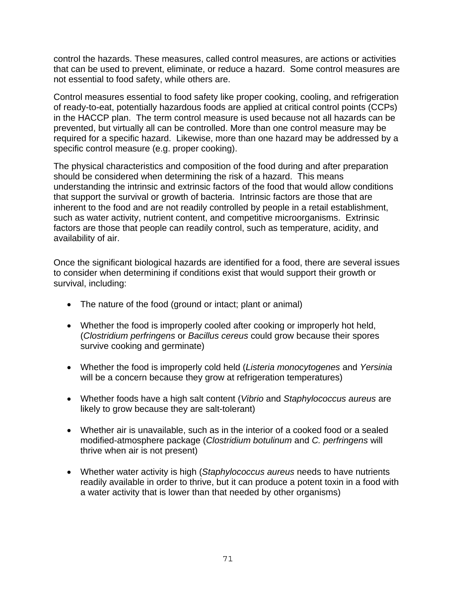control the hazards. These measures, called control measures, are actions or activities that can be used to prevent, eliminate, or reduce a hazard. Some control measures are not essential to food safety, while others are.

Control measures essential to food safety like proper cooking, cooling, and refrigeration of ready-to-eat, potentially hazardous foods are applied at critical control points (CCPs) in the HACCP plan. The term control measure is used because not all hazards can be prevented, but virtually all can be controlled. More than one control measure may be required for a specific hazard. Likewise, more than one hazard may be addressed by a specific control measure (e.g. proper cooking).

The physical characteristics and composition of the food during and after preparation should be considered when determining the risk of a hazard. This means understanding the intrinsic and extrinsic factors of the food that would allow conditions that support the survival or growth of bacteria. Intrinsic factors are those that are inherent to the food and are not readily controlled by people in a retail establishment, such as water activity, nutrient content, and competitive microorganisms. Extrinsic factors are those that people can readily control, such as temperature, acidity, and availability of air.

Once the significant biological hazards are identified for a food, there are several issues to consider when determining if conditions exist that would support their growth or survival, including:

- The nature of the food (ground or intact; plant or animal)
- Whether the food is improperly cooled after cooking or improperly hot held, (*Clostridium perfringens* or *Bacillus cereus* could grow because their spores survive cooking and germinate)
- Whether the food is improperly cold held (*Listeria monocytogenes* and *Yersinia*  will be a concern because they grow at refrigeration temperatures)
- Whether foods have a high salt content (*Vibrio* and *Staphylococcus aureus* are likely to grow because they are salt-tolerant)
- Whether air is unavailable, such as in the interior of a cooked food or a sealed modified-atmosphere package (*Clostridium botulinum* and *C. perfringens* will thrive when air is not present)
- Whether water activity is high (*Staphylococcus aureus* needs to have nutrients readily available in order to thrive, but it can produce a potent toxin in a food with a water activity that is lower than that needed by other organisms)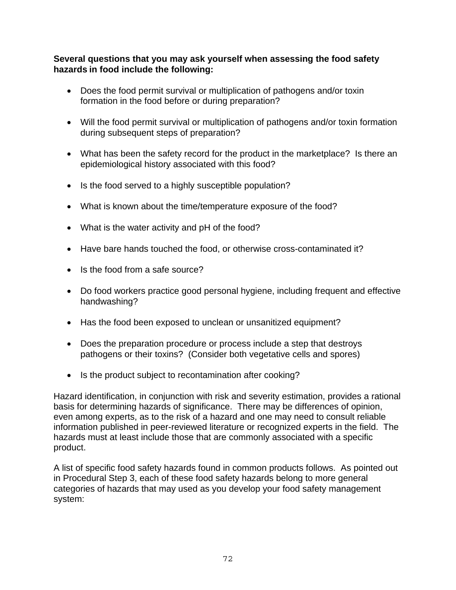#### **Several questions that you may ask yourself when assessing the food safety hazards in food include the following:**

- Does the food permit survival or multiplication of pathogens and/or toxin formation in the food before or during preparation?
- Will the food permit survival or multiplication of pathogens and/or toxin formation during subsequent steps of preparation?
- What has been the safety record for the product in the marketplace? Is there an epidemiological history associated with this food?
- Is the food served to a highly susceptible population?
- What is known about the time/temperature exposure of the food?
- What is the water activity and pH of the food?
- Have bare hands touched the food, or otherwise cross-contaminated it?
- Is the food from a safe source?
- Do food workers practice good personal hygiene, including frequent and effective handwashing?
- Has the food been exposed to unclean or unsanitized equipment?
- Does the preparation procedure or process include a step that destroys pathogens or their toxins? (Consider both vegetative cells and spores)
- Is the product subject to recontamination after cooking?

Hazard identification, in conjunction with risk and severity estimation, provides a rational basis for determining hazards of significance. There may be differences of opinion, even among experts, as to the risk of a hazard and one may need to consult reliable information published in peer-reviewed literature or recognized experts in the field. The hazards must at least include those that are commonly associated with a specific product.

A list of specific food safety hazards found in common products follows. As pointed out in Procedural Step 3, each of these food safety hazards belong to more general categories of hazards that may used as you develop your food safety management system: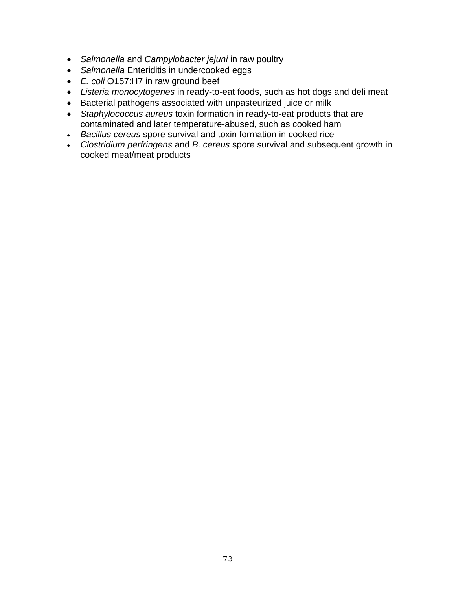- *Salmonella* and *Campylobacter jejuni* in raw poultry
- *Salmonella* Enteriditis in undercooked eggs
- *E. coli* O157:H7 in raw ground beef
- *Listeria monocytogenes* in ready-to-eat foods, such as hot dogs and deli meat
- Bacterial pathogens associated with unpasteurized juice or milk
- *Staphylococcus aureus* toxin formation in ready-to-eat products that are contaminated and later temperature-abused, such as cooked ham
- *Bacillus cereus* spore survival and toxin formation in cooked rice
- *Clostridium perfringens* and *B. cereus* spore survival and subsequent growth in cooked meat/meat products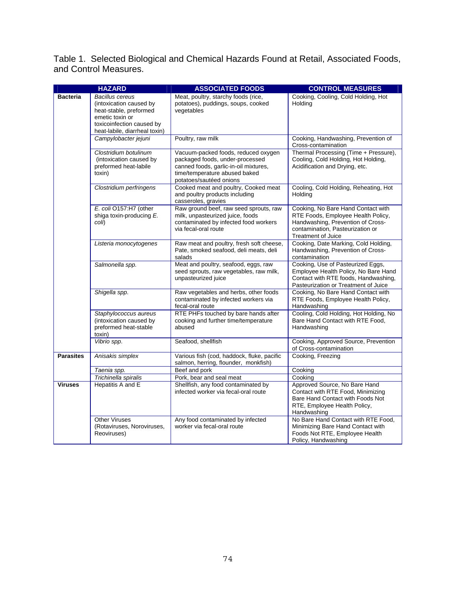Table 1. Selected Biological and Chemical Hazards Found at Retail, Associated Foods, and Control Measures.

|                  | <b>HAZARD</b>                                                                                                                                                | <b>ASSOCIATED FOODS</b>                                                                                                                                                     | <b>CONTROL MEASURES</b>                                                                                                                                                        |
|------------------|--------------------------------------------------------------------------------------------------------------------------------------------------------------|-----------------------------------------------------------------------------------------------------------------------------------------------------------------------------|--------------------------------------------------------------------------------------------------------------------------------------------------------------------------------|
| <b>Bacteria</b>  | <b>Bacillus cereus</b><br>(intoxication caused by<br>heat-stable, preformed<br>emetic toxin or<br>toxicoinfection caused by<br>heat-labile, diarrheal toxin) | Meat, poultry, starchy foods (rice,<br>potatoes), puddings, soups, cooked<br>vegetables                                                                                     | Cooking, Cooling, Cold Holding, Hot<br>Holdina                                                                                                                                 |
|                  | Campylobacter jejuni                                                                                                                                         | Poultry, raw milk                                                                                                                                                           | Cooking, Handwashing, Prevention of<br>Cross-contamination                                                                                                                     |
|                  | Clostridium botulinum<br>(intoxication caused by<br>preformed heat-labile<br>toxin)                                                                          | Vacuum-packed foods, reduced oxygen<br>packaged foods, under-processed<br>canned foods, garlic-in-oil mixtures,<br>time/temperature abused baked<br>potatoes/sautéed onions | Thermal Processing (Time + Pressure),<br>Cooling, Cold Holding, Hot Holding,<br>Acidification and Drying, etc.                                                                 |
|                  | Clostridium perfringens                                                                                                                                      | Cooked meat and poultry, Cooked meat<br>and poultry products including<br>casseroles, gravies                                                                               | Cooling, Cold Holding, Reheating, Hot<br>Holding                                                                                                                               |
|                  | E. coli O157:H7 (other<br>shiga toxin-producing E.<br>coli)                                                                                                  | Raw ground beef, raw seed sprouts, raw<br>milk, unpasteurized juice, foods<br>contaminated by infected food workers<br>via fecal-oral route                                 | Cooking, No Bare Hand Contact with<br>RTE Foods, Employee Health Policy,<br>Handwashing, Prevention of Cross-<br>contamination, Pasteurization or<br><b>Treatment of Juice</b> |
|                  | Listeria monocytogenes                                                                                                                                       | Raw meat and poultry, fresh soft cheese,<br>Pate, smoked seafood, deli meats, deli<br>salads                                                                                | Cooking, Date Marking, Cold Holding,<br>Handwashing, Prevention of Cross-<br>contamination                                                                                     |
|                  | Salmonella spp.                                                                                                                                              | Meat and poultry, seafood, eggs, raw<br>seed sprouts, raw vegetables, raw milk,<br>unpasteurized juice                                                                      | Cooking, Use of Pasteurized Eggs,<br>Employee Health Policy, No Bare Hand<br>Contact with RTE foods, Handwashing,<br>Pasteurization or Treatment of Juice                      |
|                  | Shigella spp.                                                                                                                                                | Raw vegetables and herbs, other foods<br>contaminated by infected workers via<br>fecal-oral route                                                                           | Cooking, No Bare Hand Contact with<br>RTE Foods, Employee Health Policy,<br>Handwashing                                                                                        |
|                  | Staphylococcus aureus<br>(intoxication caused by<br>preformed heat-stable<br>toxin)                                                                          | RTE PHFs touched by bare hands after<br>cooking and further time/temperature<br>abused                                                                                      | Cooling, Cold Holding, Hot Holding, No<br>Bare Hand Contact with RTE Food,<br>Handwashing                                                                                      |
|                  | Vibrio spp.                                                                                                                                                  | Seafood, shellfish                                                                                                                                                          | Cooking, Approved Source, Prevention<br>of Cross-contamination                                                                                                                 |
| <b>Parasites</b> | Anisakis simplex                                                                                                                                             | Various fish (cod, haddock, fluke, pacific<br>salmon, herring, flounder, monkfish)                                                                                          | Cooking, Freezing                                                                                                                                                              |
|                  | Taenia spp.                                                                                                                                                  | Beef and pork                                                                                                                                                               | Cooking                                                                                                                                                                        |
|                  | Trichinella spiralis                                                                                                                                         | Pork, bear and seal meat                                                                                                                                                    | Cooking                                                                                                                                                                        |
| <b>Viruses</b>   | <b>Hepatitis A and E</b>                                                                                                                                     | Shellfish, any food contaminated by<br>infected worker via fecal-oral route                                                                                                 | Approved Source, No Bare Hand<br>Contact with RTE Food, Minimizing<br>Bare Hand Contact with Foods Not<br>RTE, Employee Health Policy,<br>Handwashing                          |
|                  | <b>Other Viruses</b><br>(Rotaviruses, Noroviruses,<br>Reoviruses)                                                                                            | Any food contaminated by infected<br>worker via fecal-oral route                                                                                                            | No Bare Hand Contact with RTE Food.<br>Minimizing Bare Hand Contact with<br>Foods Not RTE, Employee Health<br>Policy, Handwashing                                              |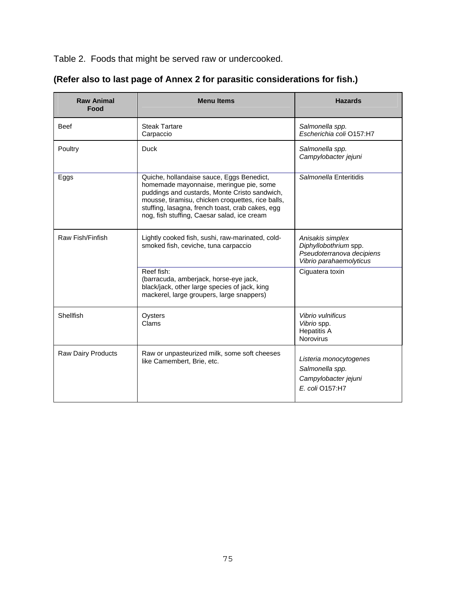#### Table 2. Foods that might be served raw or undercooked.

| <b>Raw Animal</b><br>Food | <b>Menu Items</b>                                                                                                                                                                                                                                                                             | <b>Hazards</b>                                                                                    |
|---------------------------|-----------------------------------------------------------------------------------------------------------------------------------------------------------------------------------------------------------------------------------------------------------------------------------------------|---------------------------------------------------------------------------------------------------|
| Beef                      | <b>Steak Tartare</b><br>Carpaccio                                                                                                                                                                                                                                                             | Salmonella spp.<br>Escherichia coli O157:H7                                                       |
| Poultry                   | <b>Duck</b>                                                                                                                                                                                                                                                                                   | Salmonella spp.<br>Campylobacter jejuni                                                           |
| Eggs                      | Quiche, hollandaise sauce, Eggs Benedict,<br>homemade mayonnaise, meringue pie, some<br>puddings and custards, Monte Cristo sandwich,<br>mousse, tiramisu, chicken croquettes, rice balls,<br>stuffing, lasagna, french toast, crab cakes, egg<br>nog, fish stuffing, Caesar salad, ice cream | Salmonella Enteritidis                                                                            |
| Raw Fish/Finfish          | Lightly cooked fish, sushi, raw-marinated, cold-<br>smoked fish, ceviche, tuna carpaccio                                                                                                                                                                                                      | Anisakis simplex<br>Diphyllobothrium spp.<br>Pseudoterranova decipiens<br>Vibrio parahaemolyticus |
|                           | Reef fish:<br>(barracuda, amberjack, horse-eye jack,<br>black/jack, other large species of jack, king<br>mackerel, large groupers, large snappers)                                                                                                                                            | Ciguatera toxin                                                                                   |
| Shellfish                 | Oysters<br>Clams                                                                                                                                                                                                                                                                              | Vibrio vulnificus<br>Vibrio spp.<br><b>Hepatitis A</b><br><b>Norovirus</b>                        |
| <b>Raw Dairy Products</b> | Raw or unpasteurized milk, some soft cheeses<br>like Camembert, Brie, etc.                                                                                                                                                                                                                    | Listeria monocytogenes<br>Salmonella spp.<br>Campylobacter jejuni<br>E. coli 0157:H7              |

#### **(Refer also to last page of Annex 2 for parasitic considerations for fish.)**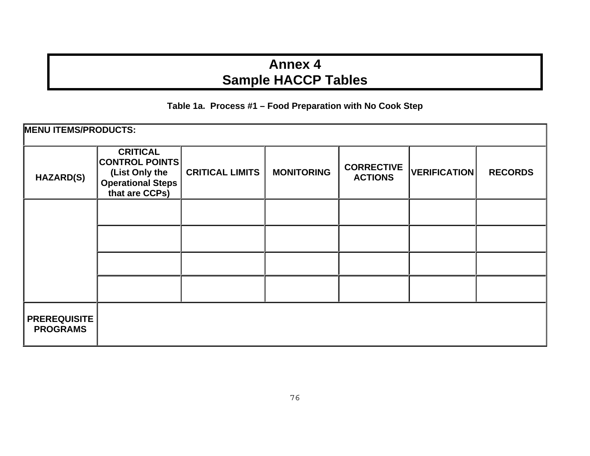## **Annex 4 Sample HACCP Tables**

### **Table 1a. Process #1 – Food Preparation with No Cook Step**

| <b>MENU ITEMS/PRODUCTS:</b>            |                                                                                                     |                        |                   |                                     |                     |                |  |
|----------------------------------------|-----------------------------------------------------------------------------------------------------|------------------------|-------------------|-------------------------------------|---------------------|----------------|--|
| <b>HAZARD(S)</b>                       | <b>CRITICAL</b><br><b>CONTROL POINTS</b><br>(List Only the<br>Operational Steps  <br>that are CCPs) | <b>CRITICAL LIMITS</b> | <b>MONITORING</b> | <b>CORRECTIVE</b><br><b>ACTIONS</b> | <b>VERIFICATION</b> | <b>RECORDS</b> |  |
|                                        |                                                                                                     |                        |                   |                                     |                     |                |  |
|                                        |                                                                                                     |                        |                   |                                     |                     |                |  |
|                                        |                                                                                                     |                        |                   |                                     |                     |                |  |
|                                        |                                                                                                     |                        |                   |                                     |                     |                |  |
| <b>PREREQUISITE</b><br><b>PROGRAMS</b> |                                                                                                     |                        |                   |                                     |                     |                |  |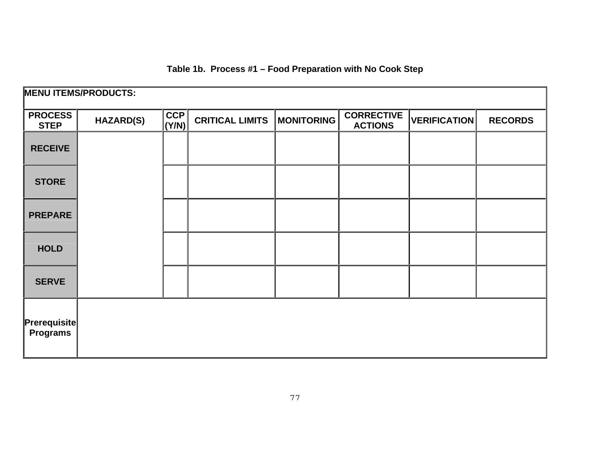| <b>MENU ITEMS/PRODUCTS:</b>            |                  |                |                        |                   |                                     |                     |                |
|----------------------------------------|------------------|----------------|------------------------|-------------------|-------------------------------------|---------------------|----------------|
| <b>PROCESS</b><br><b>STEP</b>          | <b>HAZARD(S)</b> | CCP <br> (Y/N) | <b>CRITICAL LIMITS</b> | <b>MONITORING</b> | <b>CORRECTIVE</b><br><b>ACTIONS</b> | <b>VERIFICATION</b> | <b>RECORDS</b> |
| <b>RECEIVE</b>                         |                  |                |                        |                   |                                     |                     |                |
| <b>STORE</b>                           |                  |                |                        |                   |                                     |                     |                |
| <b>PREPARE</b>                         |                  |                |                        |                   |                                     |                     |                |
| <b>HOLD</b>                            |                  |                |                        |                   |                                     |                     |                |
| <b>SERVE</b>                           |                  |                |                        |                   |                                     |                     |                |
| <b>Prerequisite</b><br><b>Programs</b> |                  |                |                        |                   |                                     |                     |                |

## **Table 1b. Process #1 – Food Preparation with No Cook Step**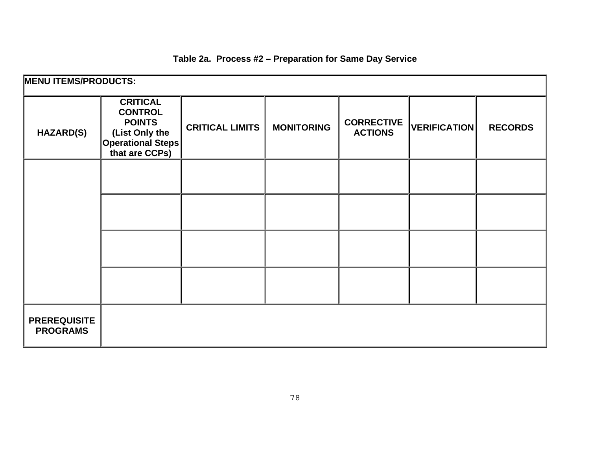### **Table 2a. Process #2 – Preparation for Same Day Service**

| <b>MENU ITEMS/PRODUCTS:</b>            |                                                                                                                                                        |                        |                   |                                     |                     |                |
|----------------------------------------|--------------------------------------------------------------------------------------------------------------------------------------------------------|------------------------|-------------------|-------------------------------------|---------------------|----------------|
| <b>HAZARD(S)</b>                       | <b>CRITICAL</b><br><b>CONTROL</b><br><b>POINTS</b><br>(List Only the<br>$\left  \mathsf{Operational} \right.$ Steps $\left  \right.$<br>that are CCPs) | <b>CRITICAL LIMITS</b> | <b>MONITORING</b> | <b>CORRECTIVE</b><br><b>ACTIONS</b> | <b>VERIFICATION</b> | <b>RECORDS</b> |
|                                        |                                                                                                                                                        |                        |                   |                                     |                     |                |
|                                        |                                                                                                                                                        |                        |                   |                                     |                     |                |
|                                        |                                                                                                                                                        |                        |                   |                                     |                     |                |
|                                        |                                                                                                                                                        |                        |                   |                                     |                     |                |
| <b>PREREQUISITE</b><br><b>PROGRAMS</b> |                                                                                                                                                        |                        |                   |                                     |                     |                |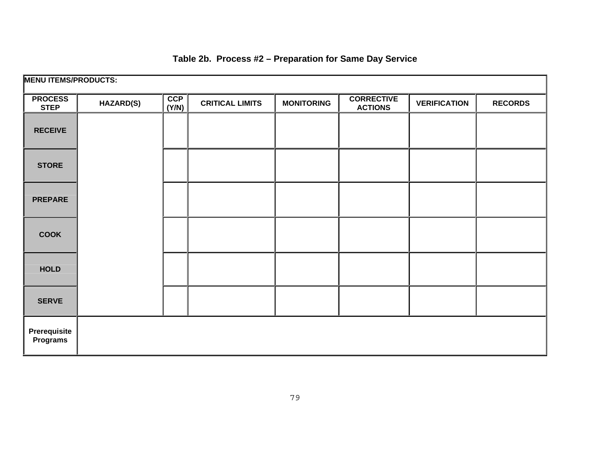| <b>MENU ITEMS/PRODUCTS:</b>     |                  |              |                        |                   |                                     |                     |                |
|---------------------------------|------------------|--------------|------------------------|-------------------|-------------------------------------|---------------------|----------------|
| <b>PROCESS</b><br><b>STEP</b>   | <b>HAZARD(S)</b> | CCP<br>(Y/N) | <b>CRITICAL LIMITS</b> | <b>MONITORING</b> | <b>CORRECTIVE</b><br><b>ACTIONS</b> | <b>VERIFICATION</b> | <b>RECORDS</b> |
| <b>RECEIVE</b>                  |                  |              |                        |                   |                                     |                     |                |
| <b>STORE</b>                    |                  |              |                        |                   |                                     |                     |                |
| <b>PREPARE</b>                  |                  |              |                        |                   |                                     |                     |                |
| <b>COOK</b>                     |                  |              |                        |                   |                                     |                     |                |
| <b>HOLD</b>                     |                  |              |                        |                   |                                     |                     |                |
| <b>SERVE</b>                    |                  |              |                        |                   |                                     |                     |                |
| Prerequisite<br><b>Programs</b> |                  |              |                        |                   |                                     |                     |                |

### **Table 2b. Process #2 – Preparation for Same Day Service**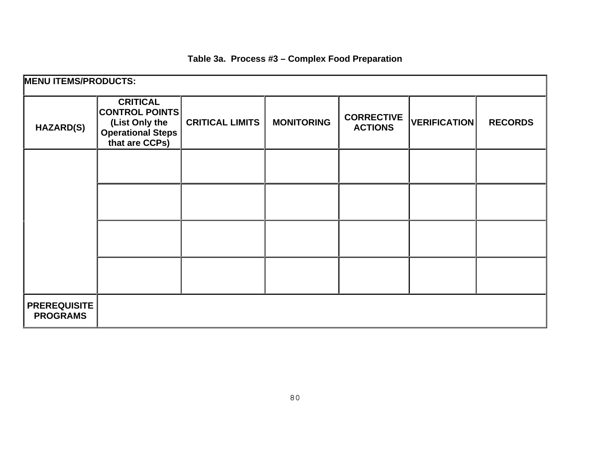| <b>MENU ITEMS/PRODUCTS:</b>            |                                                                                                          |                        |                   |                                     |                     |                |
|----------------------------------------|----------------------------------------------------------------------------------------------------------|------------------------|-------------------|-------------------------------------|---------------------|----------------|
| <b>HAZARD(S)</b>                       | <b>CRITICAL</b><br><b>CONTROL POINTS</b><br>(List Only the<br><b>Operational Steps</b><br>that are CCPs) | <b>CRITICAL LIMITS</b> | <b>MONITORING</b> | <b>CORRECTIVE</b><br><b>ACTIONS</b> | <b>VERIFICATION</b> | <b>RECORDS</b> |
|                                        |                                                                                                          |                        |                   |                                     |                     |                |
|                                        |                                                                                                          |                        |                   |                                     |                     |                |
|                                        |                                                                                                          |                        |                   |                                     |                     |                |
|                                        |                                                                                                          |                        |                   |                                     |                     |                |
| <b>PREREQUISITE</b><br><b>PROGRAMS</b> |                                                                                                          |                        |                   |                                     |                     |                |

## **Table 3a. Process #3 – Complex Food Preparation**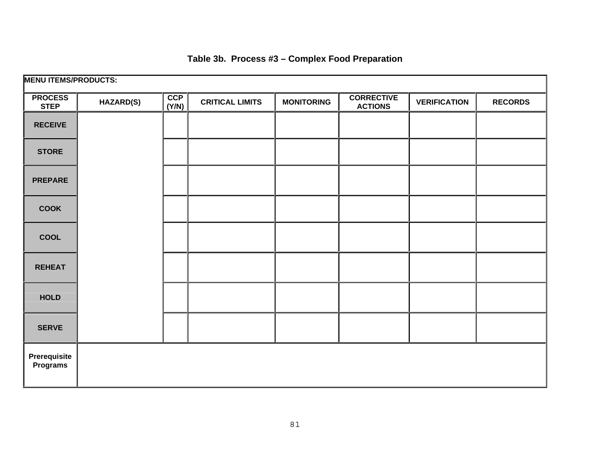|  | Table 3b. Process #3 - Complex Food Preparation |  |  |  |
|--|-------------------------------------------------|--|--|--|
|--|-------------------------------------------------|--|--|--|

|                               | <b>MENU ITEMS/PRODUCTS:</b> |              |                        |                   |                                     |                     |                |
|-------------------------------|-----------------------------|--------------|------------------------|-------------------|-------------------------------------|---------------------|----------------|
| <b>PROCESS</b><br><b>STEP</b> | <b>HAZARD(S)</b>            | CCP<br>(Y/N) | <b>CRITICAL LIMITS</b> | <b>MONITORING</b> | <b>CORRECTIVE</b><br><b>ACTIONS</b> | <b>VERIFICATION</b> | <b>RECORDS</b> |
| <b>RECEIVE</b>                |                             |              |                        |                   |                                     |                     |                |
| <b>STORE</b>                  |                             |              |                        |                   |                                     |                     |                |
| <b>PREPARE</b>                |                             |              |                        |                   |                                     |                     |                |
| <b>COOK</b>                   |                             |              |                        |                   |                                     |                     |                |
| <b>COOL</b>                   |                             |              |                        |                   |                                     |                     |                |
| <b>REHEAT</b>                 |                             |              |                        |                   |                                     |                     |                |
| <b>HOLD</b>                   |                             |              |                        |                   |                                     |                     |                |
| <b>SERVE</b>                  |                             |              |                        |                   |                                     |                     |                |
| Prerequisite<br>Programs      |                             |              |                        |                   |                                     |                     |                |